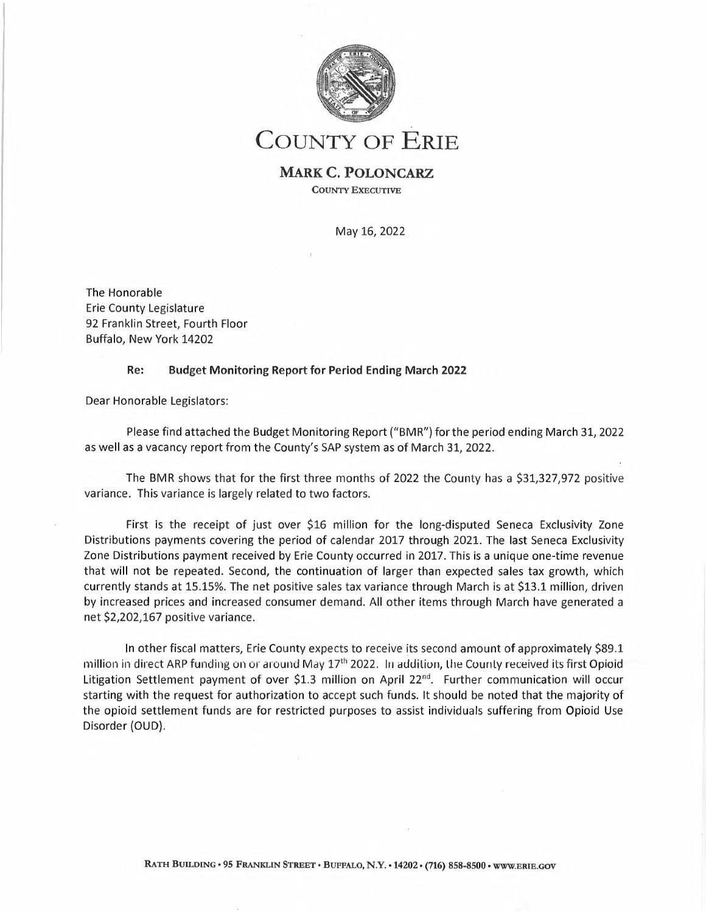

# **COUNTY OF ERIE**

### **MARK C. POLONCARZ COUNTY EXECUTIVE**

May 16, 2022

The Honorable Erie County Legislature 92 Franklin Street, Fourth Floor Buffalo, New York 14202

### **Re: Budget Monitoring Report for Period Ending March 2022**

Dear Honorable Legislators:

Please find attached the Budget Monitoring Report ("BMR") forthe period ending March 31, 2022 as well as <sup>a</sup> vacancy report from the County's SAP system as of March 31, 2022.

The BMR shows that for the first three months of 2022 the County has a \$31,327,972 positive variance. This variance is largely related to two factors.

First is the receipt of just over \$16 million for the long-disputed Seneca Exclusivity Zone Distributions payments covering the period of calendar 2017 through 2021. The last Seneca Exclusivity Zone Distributions payment received by Erie County occurred in 2017. This is <sup>a</sup> unique one-time revenue that will not be repeated. Second, the continuation of larger than expected sales tax growth, which currently stands at 15.15%. The net positive sales tax variance through March is at \$13.1 million, driven by increased prices and increased consumer demand. All other items through March have generated <sup>a</sup> net \$2,202,167 positive variance.

In other fiscal matters, Erie County expects to receive its second amount of approximately \$89.1 million in direct ARP funding on or around May 17<sup>th</sup> 2022. In addition, the County received its first Opioid Litigation Settlement payment of over \$1.3 million on April 22<sup>nd</sup>. Further communication will occur starting with the request for authorization to accept such funds. It should be noted that the majority of the opioid settlement funds are for restricted purposes to assist individuals suffering from Opioid Use Disorder (OUD).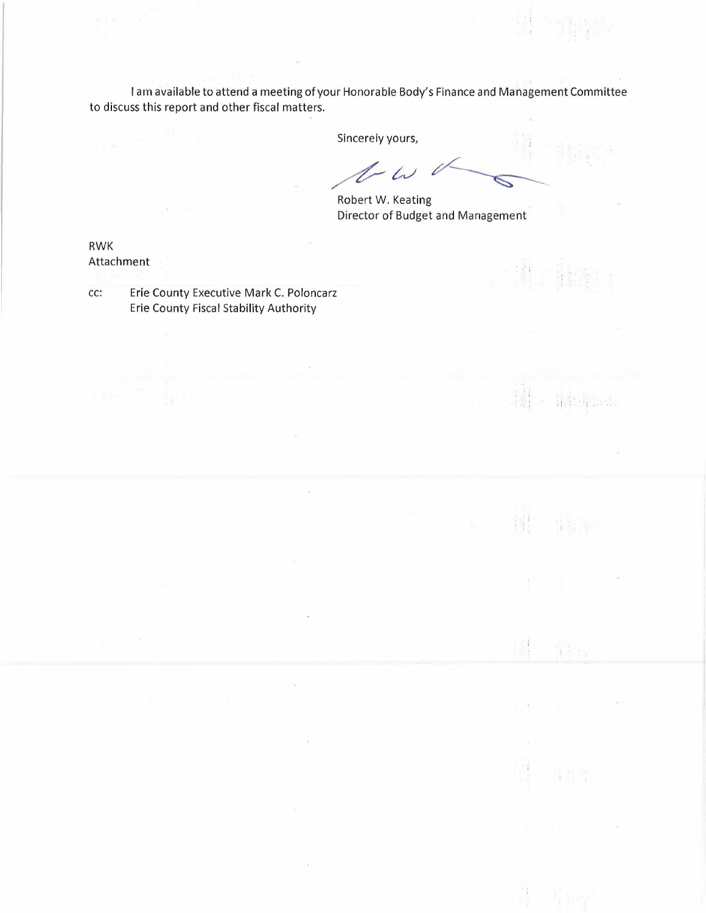<sup>I</sup> am available to attend <sup>a</sup> meeting of your Honorable Body's Finance and Management Committee to discuss this report and other fiscal matters.

 $\bar{\nu}$ 

 $\bar{\mathcal{A}}$ 

Sincerely yours,

 $1-\omega$  $\breve{~}$ 

 $\mathcal{L}_1$ ·G

· 清华祥云后。

 $\frac{1}{4}$  :  $\frac{1}{4}$  :  $\frac{1}{4}$ 

 $\frac{a_1}{2}$  ,  $\frac{1}{2}$  ,  $\frac{1}{2}$ 

 $\sim$ 

 $\label{eq:2} \begin{array}{c} \mathbb{E} \left[ \begin{array}{cc} \mathbb{E} \left[ \begin{array}{cc} \mathbb{E} \left[ \begin{array}{cc} \mathbb{E} \left[ \begin{array}{cc} \mathbb{E} \left[ \begin{array}{cc} \mathbb{E} \left[ \begin{array}{cc} \mathbb{E} \left[ \begin{array}{ccc} \mathbb{E} \left[ \begin{array}{ccc} \mathbb{E} \left[ \begin{array}{ccc} \mathbb{E} \left[ \begin{array}{ccc} \mathbb{E} \left[ \begin{array}{ccc} \mathbb{E} \left[ \begin{array}{ccc} \mathbb{E} \left[ \begin{array}{$ 

t. I

 $\sim$ 

Robert W. Keating Director of Budget and Management

RWK Attachment

cc: Erie County Executive Mark C. Poloncarz Erie County Fiscal Stability Authority

 $\frac{1}{2}$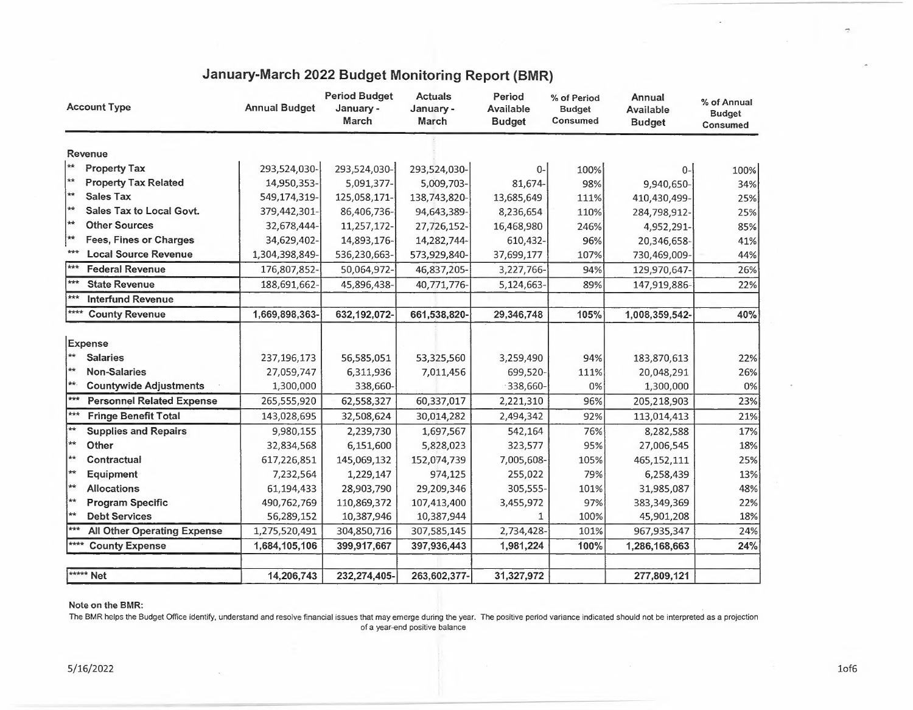| <b>Account Type</b> |                                    | <b>Annual Budget</b> | <b>Period Budget</b><br>January -<br>March | <b>Actuals</b><br>January -<br>March | Period<br><b>Available</b><br><b>Budget</b> | % of Period<br><b>Budget</b><br>Consumed | Annual<br><b>Available</b><br><b>Budget</b> | % of Annual<br><b>Budget</b><br>Consumed |
|---------------------|------------------------------------|----------------------|--------------------------------------------|--------------------------------------|---------------------------------------------|------------------------------------------|---------------------------------------------|------------------------------------------|
|                     | Revenue                            |                      |                                            |                                      |                                             |                                          |                                             |                                          |
| $\pm$               | <b>Property Tax</b>                | 293,524,030-         | 293,524,030-                               | 293,524,030-                         | $0-$                                        | 100%                                     | 0-                                          | 100%                                     |
| $**$                | <b>Property Tax Related</b>        | 14,950,353-          | 5,091,377-                                 | 5,009,703-                           | 81,674-                                     | 98%                                      | 9,940,650-                                  | 34%                                      |
| $\star\star$        | <b>Sales Tax</b>                   | 549,174,319-         | 125,058,171-                               | 138,743,820-                         | 13,685,649                                  | 111%                                     | 410,430,499-                                | 25%                                      |
| **                  | Sales Tax to Local Govt.           | 379,442,301-         | 86,406,736-                                | 94,643,389-                          | 8,236,654                                   | 110%                                     | 284,798,912-                                | 25%                                      |
| **                  | <b>Other Sources</b>               | 32,678,444-          | 11,257,172-                                | 27,726,152-                          | 16,468,980                                  | 246%                                     | 4,952,291-                                  | 85%                                      |
| ∤∗∗                 | <b>Fees, Fines or Charges</b>      | 34,629,402-          | 14,893,176-                                | 14,282,744-                          | 610,432-                                    | 96%                                      | 20,346,658-                                 | 41%                                      |
| $* * *$             | <b>Local Source Revenue</b>        | 1,304,398,849-       | 536,230,663-                               | 573,929,840-                         | 37,699,177                                  | 107%                                     | 730,469,009-                                | 44%                                      |
| $***$               | <b>Federal Revenue</b>             | 176,807,852-         | 50,064,972-                                | 46,837,205-                          | 3,227,766-                                  | 94%                                      | 129,970,647-                                | 26%                                      |
| $***$               | <b>State Revenue</b>               | 188,691,662-         | 45,896,438-                                | 40,771,776-                          | 5,124,663-                                  | 89%                                      | 147,919,886-                                | 22%                                      |
| ***                 | <b>Interfund Revenue</b>           |                      |                                            |                                      |                                             |                                          |                                             |                                          |
| ****                | <b>County Revenue</b>              | 1,669,898,363-       | 632,192,072-                               | 661,538,820-                         | 29,346,748                                  | 105%                                     | 1,008,359,542-                              | 40%                                      |
|                     |                                    |                      |                                            |                                      |                                             |                                          |                                             |                                          |
|                     | Expense                            |                      |                                            |                                      |                                             |                                          |                                             |                                          |
| $**$                | <b>Salaries</b>                    | 237,196,173          | 56,585,051                                 | 53,325,560                           | 3,259,490                                   | 94%                                      | 183,870,613                                 | 22%                                      |
| $**$                | <b>Non-Salaries</b>                | 27,059,747           | 6,311,936                                  | 7,011,456                            | 699,520-                                    | 111%                                     | 20,048,291                                  | 26%                                      |
| ₩.                  | <b>Countywide Adjustments</b>      | 1,300,000            | 338,660-                                   |                                      | 338,660-                                    | 0%                                       | 1,300,000                                   | 0%                                       |
| $***$               | <b>Personnel Related Expense</b>   | 265,555,920          | 62,558,327                                 | 60,337,017                           | 2,221,310                                   | 96%                                      | 205,218,903                                 | 23%                                      |
| $***$               | <b>Fringe Benefit Total</b>        | 143,028,695          | 32,508,624                                 | 30,014,282                           | 2,494,342                                   | 92%                                      | 113,014,413                                 | 21%                                      |
| $**$                | <b>Supplies and Repairs</b>        | 9,980,155            | 2,239,730                                  | 1,697,567                            | 542,164                                     | 76%                                      | 8,282,588                                   | 17%                                      |
| $\pm\star$          | Other                              | 32,834,568           | 6,151,600                                  | 5,828,023                            | 323,577                                     | 95%                                      | 27,006,545                                  | 18%                                      |
| **                  | Contractual                        | 617,226,851          | 145,069,132                                | 152,074,739                          | 7,005,608-                                  | 105%                                     | 465, 152, 111                               | 25%                                      |
| $**$                | Equipment                          | 7,232,564            | 1,229,147                                  | 974,125                              | 255,022                                     | 79%                                      | 6,258,439                                   | 13%                                      |
| **                  | <b>Allocations</b>                 | 61,194,433           | 28,903,790                                 | 29,209,346                           | 305,555-                                    | 101%                                     | 31,985,087                                  | 48%                                      |
| ŀ∗∗                 | <b>Program Specific</b>            | 490,762,769          | 110,869,372                                | 107,413,400                          | 3,455,972                                   | 97%                                      | 383,349,369                                 | 22%                                      |
| $\star\star$        | <b>Debt Services</b>               | 56,289,152           | 10,387,946                                 | 10,387,944                           | $\mathbf{1}$                                | 100%                                     | 45,901,208                                  | 18%                                      |
| $***$               | <b>All Other Operating Expense</b> | 1,275,520,491        | 304,850,716                                | 307,585,145                          | 2,734,428-                                  | 101%                                     | 967,935,347                                 | 24%                                      |
| ****                | <b>County Expense</b>              | 1,684,105,106        | 399,917,667                                | 397,936,443                          | 1,981,224                                   | 100%                                     | 1,286,168,663                               | 24%                                      |
|                     | ***** Net                          | 14,206,743           | 232,274,405-                               | 263,602,377-                         | 31,327,972                                  |                                          | 277,809,121                                 |                                          |
|                     |                                    |                      |                                            |                                      |                                             |                                          |                                             |                                          |

## **January-March 2022 Budget Monitoring Report (BMR)**

#### **Note on the BMR:**

The BMR helps the Budget Office identify, understand and resolve financial issues that may emerge during the year. The positive period variance indicated should not be interpreted as a projection of <sup>a</sup> year-end positive balance

..,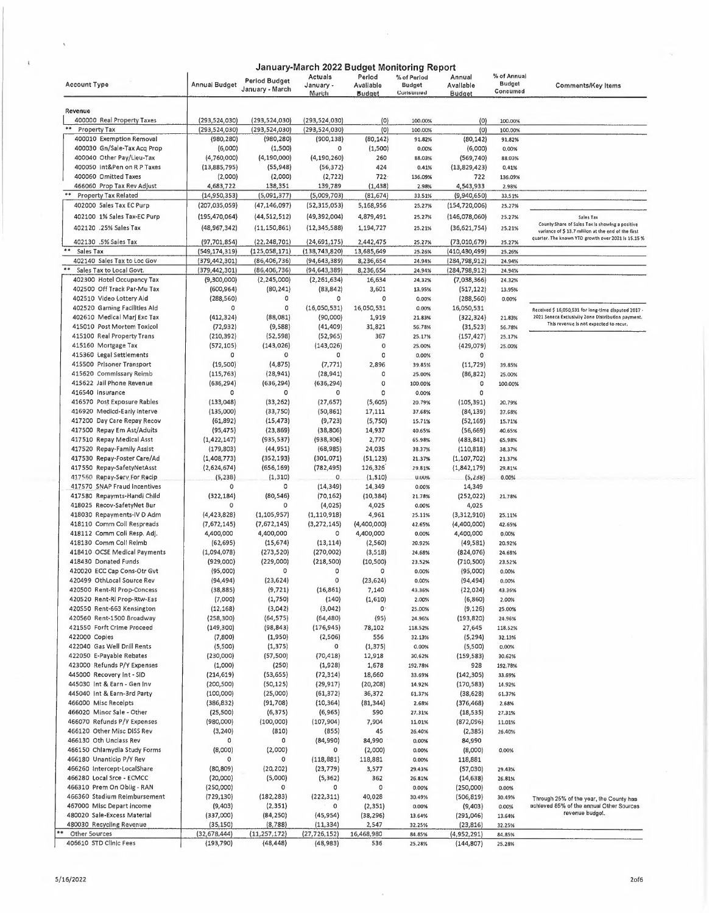| <b>Period Budget</b><br><b>Budget</b><br><b>Account Type</b><br>Annual Budget<br>January -<br><b>Budget</b><br>Avaliable<br>Avallable<br><b>Comments/Key Items</b><br>January - March<br>Concumod<br>Consumed<br>Marith<br><b>Budget</b><br><b>Budget</b><br>Revenue<br>400000 Real Property Taxes<br>(293, 524, 030)<br>(293, 524, 030)<br>(293, 524, 030)<br>(0)<br>100.00%<br>(0)<br>100.00%<br>Property Tax<br>(293, 524, 030)<br>(293, 524, 030)<br>(293, 524, 030)<br>(0)<br>100.00%<br>(0)<br>100.00%<br>400010 Exemption Removal<br>(80, 142)<br>(980, 280)<br>(980, 280)<br>(900, 138)<br>(80, 142)<br>91.82%<br>91.82%<br>400030 Gn/Sale-Tax Acq Prop<br>(1,500)<br>(6,000)<br>0<br>(1,500)<br>(6,000)<br>0.00%<br>0.00%<br>400040 Other Pay/Lleu-Tax<br>(4, 190, 000)<br>(4,760,000)<br>(4, 190, 260)<br>260<br>88.03%<br>(569, 740)<br>88.03%<br>400050 Int&Pen on R P Taxes<br>(55, 948)<br>(13,885,795)<br>(56, 372)<br>424<br>(13,829,423)<br>0.41%<br>0.41%<br>400060 Omitted Taxes<br>(2,000)<br>(2, 722)<br>$722 -$<br>(2,000)<br>136.09%<br>722<br>136.09%<br>466060 Prop Tax Rev Adjust<br>138,351<br>4,683,722<br>139,789<br>(1, 438)<br>2.98%<br>4,543,933<br>2.98%<br>Property Tax Related<br>(5,091,377)<br>(5,009,703)<br>(14,950,353)<br>(81, 674)<br>33.51%<br>(9,940,650)<br>33.51%<br>402000 Sales Tax EC Purp<br>(207,035,059)<br>(47, 146, 097)<br>(52,315,053)<br>5,168,956<br>25.27%<br>(154, 720, 006)<br>25.27%<br>402100 1% Sales Tax-EC Purp<br>4,879,491<br>(195,470,064)<br>(44, 512, 512)<br>(49, 392, 004)<br>25.27%<br>(146,078,060)<br>25.27%<br>Sales Tax<br>402120 .25% Sales Tax<br>(48, 967, 342)<br>(11, 150, 861)<br>(12, 345, 588)<br>1,194,727<br>25.21%<br>(36,621,754)<br>25.21%<br>variance of \$ 13.7 million at the end of the first<br>quarter. The known YTD growth over 2021 is 15.15 %<br>402130 .5% Sales Tax<br>(22, 248, 701)<br>(24, 691, 175)<br>2,442,475<br>(97, 701, 854)<br>25.27%<br>(73,010,679)<br>25.27%<br>**<br>(125,058,171)<br>Sales Tax<br>(549,174,319)<br>(138, 743, 820)<br>13,685,649<br>(410, 430, 499)<br>25.26%<br>25.26%<br>402140 Sales Tax to Loc Gov<br>(379,442,301)<br>(86, 406, 736)<br>(94, 643, 389)<br>8,236,654<br>24.94%<br>(284, 798, 912)<br>24.94%<br>Sales Tax to Local Govt.<br>(379,442,301)<br>(86, 406, 736)<br>(94, 643, 389)<br>8,236,654<br>24.94%<br>(284, 798, 912)<br>24.94%<br>402300 Hotel Occupancy Tax<br>(9,300,000)<br>(2, 245, 000)<br>(2, 261, 634)<br>16,634<br>24,32%<br>(7,038,366)<br>24.32%<br>402500 Off Track Par-Mu Tax<br>(80, 241)<br>3,601<br>(600, 964)<br>(83, 842)<br>13.95%<br>(517, 122)<br>13.95%<br>402510 Video Lottery Aid<br>$\circ$<br>(288, 560)<br>0<br>0<br>0.00%<br>(288, 560)<br>0.00%<br>402520 Gaming Facilities Aid<br>0<br>(16,050,531)<br>16,050,531<br>0<br>0.00%<br>16,050,531<br>402610 Medical Mari Exc Tax<br>(412, 324)<br>(88,081)<br>(90,000)<br>1,919<br>2021 Seneca Exclusivity Zone Distribution payment.<br>21.83%<br>(322, 324)<br>21.83%<br>This revenue is not expected to recur,<br>(9,588)<br>31,821<br>415010 Post Mortem Toxicol<br>(72, 932)<br>(41, 409)<br>56.78%<br>(31, 523)<br>56.78%<br>415100 Real Property Trans<br>(210, 392)<br>(52, 598)<br>(52, 965)<br>367<br>25.17%<br>(157, 427)<br>25,17%<br>415160 Mortgage Tax<br>(143, 026)<br>(572, 105)<br>(143, 026)<br>$\circ$<br>(429,079)<br>25.00%<br>25.00%<br>415360 Legal Settlements<br>0<br>0<br>0<br>$\circ$<br>0.00%<br>о<br>415500 Prisoner Transport<br>(4, 875)<br>2,896<br>(19, 500)<br>(7, 771)<br>39.85%<br>(11, 729)<br>39.85%<br>415620 Commissary Reimb<br>(115, 763)<br>(28, 941)<br>(28, 941)<br>0<br>(86, 822)<br>25.00%<br>25.00%<br>415622 Jail Phone Revenue<br>(636, 294)<br>$\mathbf 0$<br>(636, 294)<br>(636, 294)<br>100.00%<br>0<br>100.00%<br>416540 Insurance<br>0<br>0<br>0<br>0<br>0.00%<br>$\circ$<br>416570 Post Exposure Rables<br>(133,048)<br>(33, 262)<br>(5,605)<br>(27, 657)<br>(105, 391)<br>20.79%<br>20.79%<br>416920 Medicd-Early Interve<br>(135,000)<br>(33, 750)<br>(50, 861)<br>17,111<br>37.68%<br>(84, 139)<br>37.68%<br>417200 Day Care Repay Recov<br>(61,892)<br>(15, 473)<br>(5,750)<br>(9, 723)<br>15.71%<br>(52, 169)<br>15.71%<br>417500 Repay Em Ast/Adults<br>(95, 475)<br>(23, 869)<br>(38, 806)<br>14,937<br>40.65%<br>(56, 669)<br>40,65%<br>417510 Repay Medical Asst<br>(1, 422, 147)<br>(935, 537)<br>(938, 306)<br>2,770<br>(483, 841)<br>65.98%<br>65,98%<br>24,035<br>417520 Repay-Family Assist<br>(179, 803)<br>(44, 951)<br>(68, 985)<br>38.37%<br>(110, 818)<br>38.37%<br>417530 Repay-Foster Care/Ad<br>(1,408,773)<br>(51, 123)<br>(352, 193)<br>(301,071)<br>21.37%<br>(1, 107, 702)<br>21.37%<br>(782, 495)<br>126,326<br>417550 Repay-SafetyNetAsst<br>(2,624,674)<br>(656, 169)<br>(1,842,179)<br>29.81%<br>29.81%<br>(1, 310)<br>(1, 310)<br>417560 Repay-Serv For Recip<br>(5,238)<br>$\mathbf{0}$<br><b>U.UU%</b><br>(5,238)<br>0.00%<br>417570 SNAP Fraud Incentives<br>0<br>(14, 349)<br>14,349<br>0<br>14,349<br>0.00%<br>417580 Repaymts-Handl Child<br>(322, 184)<br>(80, 546)<br>(70, 162)<br>(10, 384)<br>(252, 022)<br>21.78%<br>21.78%<br>4,025<br>418025 Recov-SafetyNet Bur<br>0<br>(4,025)<br>4,025<br>0<br>0.00%<br>418030 Repayments-IV D Adm<br>(4, 423, 828)<br>(1, 105, 957)<br>(1, 110, 918)<br>4,961<br>(3,312,910)<br>25.11%<br>25.11%<br>418110 Comm Coll Respreads<br>(7,672,145)<br>(3, 272, 145)<br>(4,400,000)<br>(7,672,145)<br>(4,400,000)<br>42.65%<br>42.65%<br>4,400,000<br>4,400,000<br>418112 Comm Coll Resp. Adj.<br>4,400,000<br>0<br>0,00%<br>4,400,000<br>0.00%<br>418130 Comm Coll Relmb<br>(15, 674)<br>(13, 114)<br>(2, 560)<br>(62, 695)<br>(49, 581)<br>20.92%<br>20.92%<br>418410 OCSE Medical Payments<br>(1,094,078)<br>(270,002)<br>(273, 520)<br>(3,518)<br>24.68%<br>(824, 076)<br>24.68%<br>418430 Donated Funds<br>(929,000)<br>(229,000)<br>(218, 500)<br>(10, 500)<br>(710, 500)<br>23.52%<br>23,52%<br>420020 ECC Cap Cons-Otr Gvt<br>$\circ$<br>(95,000)<br>0<br>(95,000)<br>٥<br>0.00%<br>0.00%<br>0<br>420499 OthLocal Source Rev<br>(94, 494)<br>(23, 624)<br>(23, 624)<br>(94, 494)<br>0.00%<br>0.00%<br>(9, 721)<br>420500 Rent-RI Prop-Concess<br>(38, 885)<br>(16, 861)<br>7,140<br>(22, 024)<br>43.36%<br>43.36%<br>(1,610)<br>420520 Rent-RI Prop-Rtw-Eas<br>(7,000)<br>(1,750)<br>(140)<br>(6, 860)<br>2.00%<br>2.00%<br>420S50 Rent-663 Kensington<br>(3,042)<br>(3,042)<br>O.<br>(12, 168)<br>(9, 126)<br>25.00%<br>25.00%<br>420560 Rent-1500 Broadway<br>(258, 300)<br>(64, 575)<br>(64, 480)<br>(95)<br>24.96%<br>(193, 820)<br>24.96%<br>421550 Forft Crime Proceed<br>(149,300)<br>(98, 843)<br>(176, 945)<br>78,102<br>27,645<br>118.52%<br>118.52%<br>422000 Copies<br>556<br>(7,800)<br>(1,950)<br>(2,506)<br>32.13%<br>(5, 294)<br>32.13%<br>422040 Gas Well Drill Rents<br>(1, 375)<br>(5,500)<br>0<br>(1, 375)<br>(5,500)<br>0.00%<br>0.00%<br>422050 E-Payable Rebates<br>(230,000)<br>(57, 500)<br>(70, 418)<br>12,918<br>30,62%<br>(159, 583)<br>30.62%<br>423000 Refunds P/Y Expenses<br>(1,000)<br>(250)<br>(1,928)<br>1,678<br>192.78%<br>928<br>192.78%<br>445000 Recovery Int - SID<br>(214, 619)<br>(53, 655)<br>(72, 314)<br>18,660<br>(142, 305)<br>33.69%<br>33.69%<br>445030 Int & Earn - Gen Inv<br>(200, 500)<br>(50, 125)<br>(29, 917)<br>(20, 208)<br>(170, 583)<br>14.92%<br>14.92%<br>445040 int & Earn-3rd Party<br>(100,000)<br>(25,000)<br>(61, 372)<br>36,372<br>61.37%<br>(38, 628)<br>61.37%<br>466000 Misc Recelpts<br>(386, 832)<br>(91, 708)<br>(10, 364)<br>(81, 344)<br>2.68%<br>(376, 468)<br>2.68%<br>466020 Minor Sale - Other<br>(25, 500)<br>(6, 375)<br>(6,965)<br>590<br>27.31%<br>(18, 535)<br>27.31%<br>466070 Refunds P/Y Expenses<br>(980,000)<br>(100,000)<br>(107, 904)<br>7,904<br>(872,096)<br>11.01%<br>11.01%<br>466120 Other Misc DISS Rev<br>45<br>(3, 240)<br>(810)<br>(855)<br>(2, 385)<br>26.40%<br>26.40%<br>466130 Oth Unclass Rev<br>0<br>(84,990)<br>84,990<br>84,990<br>0<br>0.00%<br>466150 Chlamydla Study Forms<br>(8,000)<br>(2,000)<br>(2,000)<br>(8,000)<br>0.00%<br>0.00%<br>466180 Unanticip P/Y Rev<br>0<br>(118, 881)<br>118,881<br>$\Omega$<br>118,881<br>0.00%<br>466260 Intercept-LocalShare<br>(80, 809)<br>(23, 779)<br>(20, 202)<br>3,577<br>29.43%<br>(57,030)<br>29.43%<br>466280 Local Srce - ECMCC<br>(5,000)<br>(20,000)<br>(5, 362)<br>362<br>26.81%<br>(14, 638)<br>26.81%<br>466310 Prem On Oblig - RAN<br>$\mathbf 0$<br>0<br>(250,000)<br>0<br>0.00%<br>(250,000)<br>0.00%<br>466360 Stadium Reimbursement<br>(182, 283)<br>(222, 311)<br>40,028<br>(729, 130)<br>30.49%<br>(506, 819)<br>30.49% |                           |         |          | January-March 2022 Budget Monitoring Report |          |             |         |             |                                                      |
|--------------------------------------------------------------------------------------------------------------------------------------------------------------------------------------------------------------------------------------------------------------------------------------------------------------------------------------------------------------------------------------------------------------------------------------------------------------------------------------------------------------------------------------------------------------------------------------------------------------------------------------------------------------------------------------------------------------------------------------------------------------------------------------------------------------------------------------------------------------------------------------------------------------------------------------------------------------------------------------------------------------------------------------------------------------------------------------------------------------------------------------------------------------------------------------------------------------------------------------------------------------------------------------------------------------------------------------------------------------------------------------------------------------------------------------------------------------------------------------------------------------------------------------------------------------------------------------------------------------------------------------------------------------------------------------------------------------------------------------------------------------------------------------------------------------------------------------------------------------------------------------------------------------------------------------------------------------------------------------------------------------------------------------------------------------------------------------------------------------------------------------------------------------------------------------------------------------------------------------------------------------------------------------------------------------------------------------------------------------------------------------------------------------------------------------------------------------------------------------------------------------------------------------------------------------------------------------------------------------------------------------------------------------------------------------------------------------------------------------------------------------------------------------------------------------------------------------------------------------------------------------------------------------------------------------------------------------------------------------------------------------------------------------------------------------------------------------------------------------------------------------------------------------------------------------------------------------------------------------------------------------------------------------------------------------------------------------------------------------------------------------------------------------------------------------------------------------------------------------------------------------------------------------------------------------------------------------------------------------------------------------------------------------------------------------------------------------------------------------------------------------------------------------------------------------------------------------------------------------------------------------------------------------------------------------------------------------------------------------------------------------------------------------------------------------------------------------------------------------------------------------------------------------------------------------------------------------------------------------------------------------------------------------------------------------------------------------------------------------------------------------------------------------------------------------------------------------------------------------------------------------------------------------------------------------------------------------------------------------------------------------------------------------------------------------------------------------------------------------------------------------------------------------------------------------------------------------------------------------------------------------------------------------------------------------------------------------------------------------------------------------------------------------------------------------------------------------------------------------------------------------------------------------------------------------------------------------------------------------------------------------------------------------------------------------------------------------------------------------------------------------------------------------------------------------------------------------------------------------------------------------------------------------------------------------------------------------------------------------------------------------------------------------------------------------------------------------------------------------------------------------------------------------------------------------------------------------------------------------------------------------------------------------------------------------------------------------------------------------------------------------------------------------------------------------------------------------------------------------------------------------------------------------------------------------------------------------------------------------------------------------------------------------------------------------------------------------------------------------------------------------------------------------------------------------------------------------------------------------------------------------------------------------------------------------------------------------------------------------------------------------------------------------------------------------------------------------------------------------------------------------------------------------------------------------------------------------------------------------------------------------------------------------------------------------------------------------------------------------------------------------------------------------------------------------------------------------------------------------------------------------------------------------------------------------------------------------------------------------------------------------------------------------------------------------------------------------------------------------------------------------------------------------------------------------------------------------------------------------------------------------------------------------------------------------------------------------------------------------------------------------------------------------------------------------------------------------------------------------------------------------------------------------------------------------------------------------------------------------------------------------------------------------------------------------------------------------------------------------------------------------------------------------------------------------------------------------------------------------------------------------------------------------------------------------------------------------------------------------------------------------------------------------------------------------------------------------------------------------------------------------------------------------------------------------------------------------------------------------------------------------------------------------------------------------------------------------------------------------------------------------------------------------------------------------|---------------------------|---------|----------|---------------------------------------------|----------|-------------|---------|-------------|------------------------------------------------------|
|                                                                                                                                                                                                                                                                                                                                                                                                                                                                                                                                                                                                                                                                                                                                                                                                                                                                                                                                                                                                                                                                                                                                                                                                                                                                                                                                                                                                                                                                                                                                                                                                                                                                                                                                                                                                                                                                                                                                                                                                                                                                                                                                                                                                                                                                                                                                                                                                                                                                                                                                                                                                                                                                                                                                                                                                                                                                                                                                                                                                                                                                                                                                                                                                                                                                                                                                                                                                                                                                                                                                                                                                                                                                                                                                                                                                                                                                                                                                                                                                                                                                                                                                                                                                                                                                                                                                                                                                                                                                                                                                                                                                                                                                                                                                                                                                                                                                                                                                                                                                                                                                                                                                                                                                                                                                                                                                                                                                                                                                                                                                                                                                                                                                                                                                                                                                                                                                                                                                                                                                                                                                                                                                                                                                                                                                                                                                                                                                                                                                                                                                                                                                                                                                                                                                                                                                                                                                                                                                                                                                                                                                                                                                                                                                                                                                                                                                                                                                                                                                                                                                                                                                                                                                                                                                                                                                                                                                                                                                                                                                                                                                                                                                                                                                                                                                                                                                                                                                                                                                                                                                                                                                                                                                                      |                           |         |          | Actuals                                     | Period   | % of Period | Annual  | % of Annual |                                                      |
|                                                                                                                                                                                                                                                                                                                                                                                                                                                                                                                                                                                                                                                                                                                                                                                                                                                                                                                                                                                                                                                                                                                                                                                                                                                                                                                                                                                                                                                                                                                                                                                                                                                                                                                                                                                                                                                                                                                                                                                                                                                                                                                                                                                                                                                                                                                                                                                                                                                                                                                                                                                                                                                                                                                                                                                                                                                                                                                                                                                                                                                                                                                                                                                                                                                                                                                                                                                                                                                                                                                                                                                                                                                                                                                                                                                                                                                                                                                                                                                                                                                                                                                                                                                                                                                                                                                                                                                                                                                                                                                                                                                                                                                                                                                                                                                                                                                                                                                                                                                                                                                                                                                                                                                                                                                                                                                                                                                                                                                                                                                                                                                                                                                                                                                                                                                                                                                                                                                                                                                                                                                                                                                                                                                                                                                                                                                                                                                                                                                                                                                                                                                                                                                                                                                                                                                                                                                                                                                                                                                                                                                                                                                                                                                                                                                                                                                                                                                                                                                                                                                                                                                                                                                                                                                                                                                                                                                                                                                                                                                                                                                                                                                                                                                                                                                                                                                                                                                                                                                                                                                                                                                                                                                                                      |                           |         |          |                                             |          |             |         |             |                                                      |
|                                                                                                                                                                                                                                                                                                                                                                                                                                                                                                                                                                                                                                                                                                                                                                                                                                                                                                                                                                                                                                                                                                                                                                                                                                                                                                                                                                                                                                                                                                                                                                                                                                                                                                                                                                                                                                                                                                                                                                                                                                                                                                                                                                                                                                                                                                                                                                                                                                                                                                                                                                                                                                                                                                                                                                                                                                                                                                                                                                                                                                                                                                                                                                                                                                                                                                                                                                                                                                                                                                                                                                                                                                                                                                                                                                                                                                                                                                                                                                                                                                                                                                                                                                                                                                                                                                                                                                                                                                                                                                                                                                                                                                                                                                                                                                                                                                                                                                                                                                                                                                                                                                                                                                                                                                                                                                                                                                                                                                                                                                                                                                                                                                                                                                                                                                                                                                                                                                                                                                                                                                                                                                                                                                                                                                                                                                                                                                                                                                                                                                                                                                                                                                                                                                                                                                                                                                                                                                                                                                                                                                                                                                                                                                                                                                                                                                                                                                                                                                                                                                                                                                                                                                                                                                                                                                                                                                                                                                                                                                                                                                                                                                                                                                                                                                                                                                                                                                                                                                                                                                                                                                                                                                                                                      |                           |         |          |                                             |          |             |         |             |                                                      |
|                                                                                                                                                                                                                                                                                                                                                                                                                                                                                                                                                                                                                                                                                                                                                                                                                                                                                                                                                                                                                                                                                                                                                                                                                                                                                                                                                                                                                                                                                                                                                                                                                                                                                                                                                                                                                                                                                                                                                                                                                                                                                                                                                                                                                                                                                                                                                                                                                                                                                                                                                                                                                                                                                                                                                                                                                                                                                                                                                                                                                                                                                                                                                                                                                                                                                                                                                                                                                                                                                                                                                                                                                                                                                                                                                                                                                                                                                                                                                                                                                                                                                                                                                                                                                                                                                                                                                                                                                                                                                                                                                                                                                                                                                                                                                                                                                                                                                                                                                                                                                                                                                                                                                                                                                                                                                                                                                                                                                                                                                                                                                                                                                                                                                                                                                                                                                                                                                                                                                                                                                                                                                                                                                                                                                                                                                                                                                                                                                                                                                                                                                                                                                                                                                                                                                                                                                                                                                                                                                                                                                                                                                                                                                                                                                                                                                                                                                                                                                                                                                                                                                                                                                                                                                                                                                                                                                                                                                                                                                                                                                                                                                                                                                                                                                                                                                                                                                                                                                                                                                                                                                                                                                                                                                      |                           |         |          |                                             |          |             |         |             |                                                      |
|                                                                                                                                                                                                                                                                                                                                                                                                                                                                                                                                                                                                                                                                                                                                                                                                                                                                                                                                                                                                                                                                                                                                                                                                                                                                                                                                                                                                                                                                                                                                                                                                                                                                                                                                                                                                                                                                                                                                                                                                                                                                                                                                                                                                                                                                                                                                                                                                                                                                                                                                                                                                                                                                                                                                                                                                                                                                                                                                                                                                                                                                                                                                                                                                                                                                                                                                                                                                                                                                                                                                                                                                                                                                                                                                                                                                                                                                                                                                                                                                                                                                                                                                                                                                                                                                                                                                                                                                                                                                                                                                                                                                                                                                                                                                                                                                                                                                                                                                                                                                                                                                                                                                                                                                                                                                                                                                                                                                                                                                                                                                                                                                                                                                                                                                                                                                                                                                                                                                                                                                                                                                                                                                                                                                                                                                                                                                                                                                                                                                                                                                                                                                                                                                                                                                                                                                                                                                                                                                                                                                                                                                                                                                                                                                                                                                                                                                                                                                                                                                                                                                                                                                                                                                                                                                                                                                                                                                                                                                                                                                                                                                                                                                                                                                                                                                                                                                                                                                                                                                                                                                                                                                                                                                                      |                           |         |          |                                             |          |             |         |             |                                                      |
|                                                                                                                                                                                                                                                                                                                                                                                                                                                                                                                                                                                                                                                                                                                                                                                                                                                                                                                                                                                                                                                                                                                                                                                                                                                                                                                                                                                                                                                                                                                                                                                                                                                                                                                                                                                                                                                                                                                                                                                                                                                                                                                                                                                                                                                                                                                                                                                                                                                                                                                                                                                                                                                                                                                                                                                                                                                                                                                                                                                                                                                                                                                                                                                                                                                                                                                                                                                                                                                                                                                                                                                                                                                                                                                                                                                                                                                                                                                                                                                                                                                                                                                                                                                                                                                                                                                                                                                                                                                                                                                                                                                                                                                                                                                                                                                                                                                                                                                                                                                                                                                                                                                                                                                                                                                                                                                                                                                                                                                                                                                                                                                                                                                                                                                                                                                                                                                                                                                                                                                                                                                                                                                                                                                                                                                                                                                                                                                                                                                                                                                                                                                                                                                                                                                                                                                                                                                                                                                                                                                                                                                                                                                                                                                                                                                                                                                                                                                                                                                                                                                                                                                                                                                                                                                                                                                                                                                                                                                                                                                                                                                                                                                                                                                                                                                                                                                                                                                                                                                                                                                                                                                                                                                                                      |                           |         |          |                                             |          |             |         |             |                                                      |
|                                                                                                                                                                                                                                                                                                                                                                                                                                                                                                                                                                                                                                                                                                                                                                                                                                                                                                                                                                                                                                                                                                                                                                                                                                                                                                                                                                                                                                                                                                                                                                                                                                                                                                                                                                                                                                                                                                                                                                                                                                                                                                                                                                                                                                                                                                                                                                                                                                                                                                                                                                                                                                                                                                                                                                                                                                                                                                                                                                                                                                                                                                                                                                                                                                                                                                                                                                                                                                                                                                                                                                                                                                                                                                                                                                                                                                                                                                                                                                                                                                                                                                                                                                                                                                                                                                                                                                                                                                                                                                                                                                                                                                                                                                                                                                                                                                                                                                                                                                                                                                                                                                                                                                                                                                                                                                                                                                                                                                                                                                                                                                                                                                                                                                                                                                                                                                                                                                                                                                                                                                                                                                                                                                                                                                                                                                                                                                                                                                                                                                                                                                                                                                                                                                                                                                                                                                                                                                                                                                                                                                                                                                                                                                                                                                                                                                                                                                                                                                                                                                                                                                                                                                                                                                                                                                                                                                                                                                                                                                                                                                                                                                                                                                                                                                                                                                                                                                                                                                                                                                                                                                                                                                                                                      |                           |         |          |                                             |          |             |         |             |                                                      |
|                                                                                                                                                                                                                                                                                                                                                                                                                                                                                                                                                                                                                                                                                                                                                                                                                                                                                                                                                                                                                                                                                                                                                                                                                                                                                                                                                                                                                                                                                                                                                                                                                                                                                                                                                                                                                                                                                                                                                                                                                                                                                                                                                                                                                                                                                                                                                                                                                                                                                                                                                                                                                                                                                                                                                                                                                                                                                                                                                                                                                                                                                                                                                                                                                                                                                                                                                                                                                                                                                                                                                                                                                                                                                                                                                                                                                                                                                                                                                                                                                                                                                                                                                                                                                                                                                                                                                                                                                                                                                                                                                                                                                                                                                                                                                                                                                                                                                                                                                                                                                                                                                                                                                                                                                                                                                                                                                                                                                                                                                                                                                                                                                                                                                                                                                                                                                                                                                                                                                                                                                                                                                                                                                                                                                                                                                                                                                                                                                                                                                                                                                                                                                                                                                                                                                                                                                                                                                                                                                                                                                                                                                                                                                                                                                                                                                                                                                                                                                                                                                                                                                                                                                                                                                                                                                                                                                                                                                                                                                                                                                                                                                                                                                                                                                                                                                                                                                                                                                                                                                                                                                                                                                                                                                      |                           |         |          |                                             |          |             |         |             |                                                      |
|                                                                                                                                                                                                                                                                                                                                                                                                                                                                                                                                                                                                                                                                                                                                                                                                                                                                                                                                                                                                                                                                                                                                                                                                                                                                                                                                                                                                                                                                                                                                                                                                                                                                                                                                                                                                                                                                                                                                                                                                                                                                                                                                                                                                                                                                                                                                                                                                                                                                                                                                                                                                                                                                                                                                                                                                                                                                                                                                                                                                                                                                                                                                                                                                                                                                                                                                                                                                                                                                                                                                                                                                                                                                                                                                                                                                                                                                                                                                                                                                                                                                                                                                                                                                                                                                                                                                                                                                                                                                                                                                                                                                                                                                                                                                                                                                                                                                                                                                                                                                                                                                                                                                                                                                                                                                                                                                                                                                                                                                                                                                                                                                                                                                                                                                                                                                                                                                                                                                                                                                                                                                                                                                                                                                                                                                                                                                                                                                                                                                                                                                                                                                                                                                                                                                                                                                                                                                                                                                                                                                                                                                                                                                                                                                                                                                                                                                                                                                                                                                                                                                                                                                                                                                                                                                                                                                                                                                                                                                                                                                                                                                                                                                                                                                                                                                                                                                                                                                                                                                                                                                                                                                                                                                                      |                           |         |          |                                             |          |             |         |             |                                                      |
|                                                                                                                                                                                                                                                                                                                                                                                                                                                                                                                                                                                                                                                                                                                                                                                                                                                                                                                                                                                                                                                                                                                                                                                                                                                                                                                                                                                                                                                                                                                                                                                                                                                                                                                                                                                                                                                                                                                                                                                                                                                                                                                                                                                                                                                                                                                                                                                                                                                                                                                                                                                                                                                                                                                                                                                                                                                                                                                                                                                                                                                                                                                                                                                                                                                                                                                                                                                                                                                                                                                                                                                                                                                                                                                                                                                                                                                                                                                                                                                                                                                                                                                                                                                                                                                                                                                                                                                                                                                                                                                                                                                                                                                                                                                                                                                                                                                                                                                                                                                                                                                                                                                                                                                                                                                                                                                                                                                                                                                                                                                                                                                                                                                                                                                                                                                                                                                                                                                                                                                                                                                                                                                                                                                                                                                                                                                                                                                                                                                                                                                                                                                                                                                                                                                                                                                                                                                                                                                                                                                                                                                                                                                                                                                                                                                                                                                                                                                                                                                                                                                                                                                                                                                                                                                                                                                                                                                                                                                                                                                                                                                                                                                                                                                                                                                                                                                                                                                                                                                                                                                                                                                                                                                                                      |                           |         |          |                                             |          |             |         |             |                                                      |
|                                                                                                                                                                                                                                                                                                                                                                                                                                                                                                                                                                                                                                                                                                                                                                                                                                                                                                                                                                                                                                                                                                                                                                                                                                                                                                                                                                                                                                                                                                                                                                                                                                                                                                                                                                                                                                                                                                                                                                                                                                                                                                                                                                                                                                                                                                                                                                                                                                                                                                                                                                                                                                                                                                                                                                                                                                                                                                                                                                                                                                                                                                                                                                                                                                                                                                                                                                                                                                                                                                                                                                                                                                                                                                                                                                                                                                                                                                                                                                                                                                                                                                                                                                                                                                                                                                                                                                                                                                                                                                                                                                                                                                                                                                                                                                                                                                                                                                                                                                                                                                                                                                                                                                                                                                                                                                                                                                                                                                                                                                                                                                                                                                                                                                                                                                                                                                                                                                                                                                                                                                                                                                                                                                                                                                                                                                                                                                                                                                                                                                                                                                                                                                                                                                                                                                                                                                                                                                                                                                                                                                                                                                                                                                                                                                                                                                                                                                                                                                                                                                                                                                                                                                                                                                                                                                                                                                                                                                                                                                                                                                                                                                                                                                                                                                                                                                                                                                                                                                                                                                                                                                                                                                                                                      |                           |         |          |                                             |          |             |         |             |                                                      |
|                                                                                                                                                                                                                                                                                                                                                                                                                                                                                                                                                                                                                                                                                                                                                                                                                                                                                                                                                                                                                                                                                                                                                                                                                                                                                                                                                                                                                                                                                                                                                                                                                                                                                                                                                                                                                                                                                                                                                                                                                                                                                                                                                                                                                                                                                                                                                                                                                                                                                                                                                                                                                                                                                                                                                                                                                                                                                                                                                                                                                                                                                                                                                                                                                                                                                                                                                                                                                                                                                                                                                                                                                                                                                                                                                                                                                                                                                                                                                                                                                                                                                                                                                                                                                                                                                                                                                                                                                                                                                                                                                                                                                                                                                                                                                                                                                                                                                                                                                                                                                                                                                                                                                                                                                                                                                                                                                                                                                                                                                                                                                                                                                                                                                                                                                                                                                                                                                                                                                                                                                                                                                                                                                                                                                                                                                                                                                                                                                                                                                                                                                                                                                                                                                                                                                                                                                                                                                                                                                                                                                                                                                                                                                                                                                                                                                                                                                                                                                                                                                                                                                                                                                                                                                                                                                                                                                                                                                                                                                                                                                                                                                                                                                                                                                                                                                                                                                                                                                                                                                                                                                                                                                                                                                      |                           |         |          |                                             |          |             |         |             |                                                      |
|                                                                                                                                                                                                                                                                                                                                                                                                                                                                                                                                                                                                                                                                                                                                                                                                                                                                                                                                                                                                                                                                                                                                                                                                                                                                                                                                                                                                                                                                                                                                                                                                                                                                                                                                                                                                                                                                                                                                                                                                                                                                                                                                                                                                                                                                                                                                                                                                                                                                                                                                                                                                                                                                                                                                                                                                                                                                                                                                                                                                                                                                                                                                                                                                                                                                                                                                                                                                                                                                                                                                                                                                                                                                                                                                                                                                                                                                                                                                                                                                                                                                                                                                                                                                                                                                                                                                                                                                                                                                                                                                                                                                                                                                                                                                                                                                                                                                                                                                                                                                                                                                                                                                                                                                                                                                                                                                                                                                                                                                                                                                                                                                                                                                                                                                                                                                                                                                                                                                                                                                                                                                                                                                                                                                                                                                                                                                                                                                                                                                                                                                                                                                                                                                                                                                                                                                                                                                                                                                                                                                                                                                                                                                                                                                                                                                                                                                                                                                                                                                                                                                                                                                                                                                                                                                                                                                                                                                                                                                                                                                                                                                                                                                                                                                                                                                                                                                                                                                                                                                                                                                                                                                                                                                                      |                           |         |          |                                             |          |             |         |             |                                                      |
|                                                                                                                                                                                                                                                                                                                                                                                                                                                                                                                                                                                                                                                                                                                                                                                                                                                                                                                                                                                                                                                                                                                                                                                                                                                                                                                                                                                                                                                                                                                                                                                                                                                                                                                                                                                                                                                                                                                                                                                                                                                                                                                                                                                                                                                                                                                                                                                                                                                                                                                                                                                                                                                                                                                                                                                                                                                                                                                                                                                                                                                                                                                                                                                                                                                                                                                                                                                                                                                                                                                                                                                                                                                                                                                                                                                                                                                                                                                                                                                                                                                                                                                                                                                                                                                                                                                                                                                                                                                                                                                                                                                                                                                                                                                                                                                                                                                                                                                                                                                                                                                                                                                                                                                                                                                                                                                                                                                                                                                                                                                                                                                                                                                                                                                                                                                                                                                                                                                                                                                                                                                                                                                                                                                                                                                                                                                                                                                                                                                                                                                                                                                                                                                                                                                                                                                                                                                                                                                                                                                                                                                                                                                                                                                                                                                                                                                                                                                                                                                                                                                                                                                                                                                                                                                                                                                                                                                                                                                                                                                                                                                                                                                                                                                                                                                                                                                                                                                                                                                                                                                                                                                                                                                                                      |                           |         |          |                                             |          |             |         |             |                                                      |
|                                                                                                                                                                                                                                                                                                                                                                                                                                                                                                                                                                                                                                                                                                                                                                                                                                                                                                                                                                                                                                                                                                                                                                                                                                                                                                                                                                                                                                                                                                                                                                                                                                                                                                                                                                                                                                                                                                                                                                                                                                                                                                                                                                                                                                                                                                                                                                                                                                                                                                                                                                                                                                                                                                                                                                                                                                                                                                                                                                                                                                                                                                                                                                                                                                                                                                                                                                                                                                                                                                                                                                                                                                                                                                                                                                                                                                                                                                                                                                                                                                                                                                                                                                                                                                                                                                                                                                                                                                                                                                                                                                                                                                                                                                                                                                                                                                                                                                                                                                                                                                                                                                                                                                                                                                                                                                                                                                                                                                                                                                                                                                                                                                                                                                                                                                                                                                                                                                                                                                                                                                                                                                                                                                                                                                                                                                                                                                                                                                                                                                                                                                                                                                                                                                                                                                                                                                                                                                                                                                                                                                                                                                                                                                                                                                                                                                                                                                                                                                                                                                                                                                                                                                                                                                                                                                                                                                                                                                                                                                                                                                                                                                                                                                                                                                                                                                                                                                                                                                                                                                                                                                                                                                                                                      |                           |         |          |                                             |          |             |         |             | County Share of Sales Tax is showing a positive      |
|                                                                                                                                                                                                                                                                                                                                                                                                                                                                                                                                                                                                                                                                                                                                                                                                                                                                                                                                                                                                                                                                                                                                                                                                                                                                                                                                                                                                                                                                                                                                                                                                                                                                                                                                                                                                                                                                                                                                                                                                                                                                                                                                                                                                                                                                                                                                                                                                                                                                                                                                                                                                                                                                                                                                                                                                                                                                                                                                                                                                                                                                                                                                                                                                                                                                                                                                                                                                                                                                                                                                                                                                                                                                                                                                                                                                                                                                                                                                                                                                                                                                                                                                                                                                                                                                                                                                                                                                                                                                                                                                                                                                                                                                                                                                                                                                                                                                                                                                                                                                                                                                                                                                                                                                                                                                                                                                                                                                                                                                                                                                                                                                                                                                                                                                                                                                                                                                                                                                                                                                                                                                                                                                                                                                                                                                                                                                                                                                                                                                                                                                                                                                                                                                                                                                                                                                                                                                                                                                                                                                                                                                                                                                                                                                                                                                                                                                                                                                                                                                                                                                                                                                                                                                                                                                                                                                                                                                                                                                                                                                                                                                                                                                                                                                                                                                                                                                                                                                                                                                                                                                                                                                                                                                                      |                           |         |          |                                             |          |             |         |             |                                                      |
|                                                                                                                                                                                                                                                                                                                                                                                                                                                                                                                                                                                                                                                                                                                                                                                                                                                                                                                                                                                                                                                                                                                                                                                                                                                                                                                                                                                                                                                                                                                                                                                                                                                                                                                                                                                                                                                                                                                                                                                                                                                                                                                                                                                                                                                                                                                                                                                                                                                                                                                                                                                                                                                                                                                                                                                                                                                                                                                                                                                                                                                                                                                                                                                                                                                                                                                                                                                                                                                                                                                                                                                                                                                                                                                                                                                                                                                                                                                                                                                                                                                                                                                                                                                                                                                                                                                                                                                                                                                                                                                                                                                                                                                                                                                                                                                                                                                                                                                                                                                                                                                                                                                                                                                                                                                                                                                                                                                                                                                                                                                                                                                                                                                                                                                                                                                                                                                                                                                                                                                                                                                                                                                                                                                                                                                                                                                                                                                                                                                                                                                                                                                                                                                                                                                                                                                                                                                                                                                                                                                                                                                                                                                                                                                                                                                                                                                                                                                                                                                                                                                                                                                                                                                                                                                                                                                                                                                                                                                                                                                                                                                                                                                                                                                                                                                                                                                                                                                                                                                                                                                                                                                                                                                                                      |                           |         |          |                                             |          |             |         |             |                                                      |
|                                                                                                                                                                                                                                                                                                                                                                                                                                                                                                                                                                                                                                                                                                                                                                                                                                                                                                                                                                                                                                                                                                                                                                                                                                                                                                                                                                                                                                                                                                                                                                                                                                                                                                                                                                                                                                                                                                                                                                                                                                                                                                                                                                                                                                                                                                                                                                                                                                                                                                                                                                                                                                                                                                                                                                                                                                                                                                                                                                                                                                                                                                                                                                                                                                                                                                                                                                                                                                                                                                                                                                                                                                                                                                                                                                                                                                                                                                                                                                                                                                                                                                                                                                                                                                                                                                                                                                                                                                                                                                                                                                                                                                                                                                                                                                                                                                                                                                                                                                                                                                                                                                                                                                                                                                                                                                                                                                                                                                                                                                                                                                                                                                                                                                                                                                                                                                                                                                                                                                                                                                                                                                                                                                                                                                                                                                                                                                                                                                                                                                                                                                                                                                                                                                                                                                                                                                                                                                                                                                                                                                                                                                                                                                                                                                                                                                                                                                                                                                                                                                                                                                                                                                                                                                                                                                                                                                                                                                                                                                                                                                                                                                                                                                                                                                                                                                                                                                                                                                                                                                                                                                                                                                                                                      |                           |         |          |                                             |          |             |         |             |                                                      |
|                                                                                                                                                                                                                                                                                                                                                                                                                                                                                                                                                                                                                                                                                                                                                                                                                                                                                                                                                                                                                                                                                                                                                                                                                                                                                                                                                                                                                                                                                                                                                                                                                                                                                                                                                                                                                                                                                                                                                                                                                                                                                                                                                                                                                                                                                                                                                                                                                                                                                                                                                                                                                                                                                                                                                                                                                                                                                                                                                                                                                                                                                                                                                                                                                                                                                                                                                                                                                                                                                                                                                                                                                                                                                                                                                                                                                                                                                                                                                                                                                                                                                                                                                                                                                                                                                                                                                                                                                                                                                                                                                                                                                                                                                                                                                                                                                                                                                                                                                                                                                                                                                                                                                                                                                                                                                                                                                                                                                                                                                                                                                                                                                                                                                                                                                                                                                                                                                                                                                                                                                                                                                                                                                                                                                                                                                                                                                                                                                                                                                                                                                                                                                                                                                                                                                                                                                                                                                                                                                                                                                                                                                                                                                                                                                                                                                                                                                                                                                                                                                                                                                                                                                                                                                                                                                                                                                                                                                                                                                                                                                                                                                                                                                                                                                                                                                                                                                                                                                                                                                                                                                                                                                                                                                      |                           |         |          |                                             |          |             |         |             |                                                      |
|                                                                                                                                                                                                                                                                                                                                                                                                                                                                                                                                                                                                                                                                                                                                                                                                                                                                                                                                                                                                                                                                                                                                                                                                                                                                                                                                                                                                                                                                                                                                                                                                                                                                                                                                                                                                                                                                                                                                                                                                                                                                                                                                                                                                                                                                                                                                                                                                                                                                                                                                                                                                                                                                                                                                                                                                                                                                                                                                                                                                                                                                                                                                                                                                                                                                                                                                                                                                                                                                                                                                                                                                                                                                                                                                                                                                                                                                                                                                                                                                                                                                                                                                                                                                                                                                                                                                                                                                                                                                                                                                                                                                                                                                                                                                                                                                                                                                                                                                                                                                                                                                                                                                                                                                                                                                                                                                                                                                                                                                                                                                                                                                                                                                                                                                                                                                                                                                                                                                                                                                                                                                                                                                                                                                                                                                                                                                                                                                                                                                                                                                                                                                                                                                                                                                                                                                                                                                                                                                                                                                                                                                                                                                                                                                                                                                                                                                                                                                                                                                                                                                                                                                                                                                                                                                                                                                                                                                                                                                                                                                                                                                                                                                                                                                                                                                                                                                                                                                                                                                                                                                                                                                                                                                                      |                           |         |          |                                             |          |             |         |             |                                                      |
|                                                                                                                                                                                                                                                                                                                                                                                                                                                                                                                                                                                                                                                                                                                                                                                                                                                                                                                                                                                                                                                                                                                                                                                                                                                                                                                                                                                                                                                                                                                                                                                                                                                                                                                                                                                                                                                                                                                                                                                                                                                                                                                                                                                                                                                                                                                                                                                                                                                                                                                                                                                                                                                                                                                                                                                                                                                                                                                                                                                                                                                                                                                                                                                                                                                                                                                                                                                                                                                                                                                                                                                                                                                                                                                                                                                                                                                                                                                                                                                                                                                                                                                                                                                                                                                                                                                                                                                                                                                                                                                                                                                                                                                                                                                                                                                                                                                                                                                                                                                                                                                                                                                                                                                                                                                                                                                                                                                                                                                                                                                                                                                                                                                                                                                                                                                                                                                                                                                                                                                                                                                                                                                                                                                                                                                                                                                                                                                                                                                                                                                                                                                                                                                                                                                                                                                                                                                                                                                                                                                                                                                                                                                                                                                                                                                                                                                                                                                                                                                                                                                                                                                                                                                                                                                                                                                                                                                                                                                                                                                                                                                                                                                                                                                                                                                                                                                                                                                                                                                                                                                                                                                                                                                                                      |                           |         |          |                                             |          |             |         |             |                                                      |
|                                                                                                                                                                                                                                                                                                                                                                                                                                                                                                                                                                                                                                                                                                                                                                                                                                                                                                                                                                                                                                                                                                                                                                                                                                                                                                                                                                                                                                                                                                                                                                                                                                                                                                                                                                                                                                                                                                                                                                                                                                                                                                                                                                                                                                                                                                                                                                                                                                                                                                                                                                                                                                                                                                                                                                                                                                                                                                                                                                                                                                                                                                                                                                                                                                                                                                                                                                                                                                                                                                                                                                                                                                                                                                                                                                                                                                                                                                                                                                                                                                                                                                                                                                                                                                                                                                                                                                                                                                                                                                                                                                                                                                                                                                                                                                                                                                                                                                                                                                                                                                                                                                                                                                                                                                                                                                                                                                                                                                                                                                                                                                                                                                                                                                                                                                                                                                                                                                                                                                                                                                                                                                                                                                                                                                                                                                                                                                                                                                                                                                                                                                                                                                                                                                                                                                                                                                                                                                                                                                                                                                                                                                                                                                                                                                                                                                                                                                                                                                                                                                                                                                                                                                                                                                                                                                                                                                                                                                                                                                                                                                                                                                                                                                                                                                                                                                                                                                                                                                                                                                                                                                                                                                                                                      |                           |         |          |                                             |          |             |         |             |                                                      |
|                                                                                                                                                                                                                                                                                                                                                                                                                                                                                                                                                                                                                                                                                                                                                                                                                                                                                                                                                                                                                                                                                                                                                                                                                                                                                                                                                                                                                                                                                                                                                                                                                                                                                                                                                                                                                                                                                                                                                                                                                                                                                                                                                                                                                                                                                                                                                                                                                                                                                                                                                                                                                                                                                                                                                                                                                                                                                                                                                                                                                                                                                                                                                                                                                                                                                                                                                                                                                                                                                                                                                                                                                                                                                                                                                                                                                                                                                                                                                                                                                                                                                                                                                                                                                                                                                                                                                                                                                                                                                                                                                                                                                                                                                                                                                                                                                                                                                                                                                                                                                                                                                                                                                                                                                                                                                                                                                                                                                                                                                                                                                                                                                                                                                                                                                                                                                                                                                                                                                                                                                                                                                                                                                                                                                                                                                                                                                                                                                                                                                                                                                                                                                                                                                                                                                                                                                                                                                                                                                                                                                                                                                                                                                                                                                                                                                                                                                                                                                                                                                                                                                                                                                                                                                                                                                                                                                                                                                                                                                                                                                                                                                                                                                                                                                                                                                                                                                                                                                                                                                                                                                                                                                                                                                      |                           |         |          |                                             |          |             |         |             |                                                      |
|                                                                                                                                                                                                                                                                                                                                                                                                                                                                                                                                                                                                                                                                                                                                                                                                                                                                                                                                                                                                                                                                                                                                                                                                                                                                                                                                                                                                                                                                                                                                                                                                                                                                                                                                                                                                                                                                                                                                                                                                                                                                                                                                                                                                                                                                                                                                                                                                                                                                                                                                                                                                                                                                                                                                                                                                                                                                                                                                                                                                                                                                                                                                                                                                                                                                                                                                                                                                                                                                                                                                                                                                                                                                                                                                                                                                                                                                                                                                                                                                                                                                                                                                                                                                                                                                                                                                                                                                                                                                                                                                                                                                                                                                                                                                                                                                                                                                                                                                                                                                                                                                                                                                                                                                                                                                                                                                                                                                                                                                                                                                                                                                                                                                                                                                                                                                                                                                                                                                                                                                                                                                                                                                                                                                                                                                                                                                                                                                                                                                                                                                                                                                                                                                                                                                                                                                                                                                                                                                                                                                                                                                                                                                                                                                                                                                                                                                                                                                                                                                                                                                                                                                                                                                                                                                                                                                                                                                                                                                                                                                                                                                                                                                                                                                                                                                                                                                                                                                                                                                                                                                                                                                                                                                                      |                           |         |          |                                             |          |             |         |             |                                                      |
|                                                                                                                                                                                                                                                                                                                                                                                                                                                                                                                                                                                                                                                                                                                                                                                                                                                                                                                                                                                                                                                                                                                                                                                                                                                                                                                                                                                                                                                                                                                                                                                                                                                                                                                                                                                                                                                                                                                                                                                                                                                                                                                                                                                                                                                                                                                                                                                                                                                                                                                                                                                                                                                                                                                                                                                                                                                                                                                                                                                                                                                                                                                                                                                                                                                                                                                                                                                                                                                                                                                                                                                                                                                                                                                                                                                                                                                                                                                                                                                                                                                                                                                                                                                                                                                                                                                                                                                                                                                                                                                                                                                                                                                                                                                                                                                                                                                                                                                                                                                                                                                                                                                                                                                                                                                                                                                                                                                                                                                                                                                                                                                                                                                                                                                                                                                                                                                                                                                                                                                                                                                                                                                                                                                                                                                                                                                                                                                                                                                                                                                                                                                                                                                                                                                                                                                                                                                                                                                                                                                                                                                                                                                                                                                                                                                                                                                                                                                                                                                                                                                                                                                                                                                                                                                                                                                                                                                                                                                                                                                                                                                                                                                                                                                                                                                                                                                                                                                                                                                                                                                                                                                                                                                                                      |                           |         |          |                                             |          |             |         |             | Received \$ 16,050,531 for long-time disputed 2017 - |
|                                                                                                                                                                                                                                                                                                                                                                                                                                                                                                                                                                                                                                                                                                                                                                                                                                                                                                                                                                                                                                                                                                                                                                                                                                                                                                                                                                                                                                                                                                                                                                                                                                                                                                                                                                                                                                                                                                                                                                                                                                                                                                                                                                                                                                                                                                                                                                                                                                                                                                                                                                                                                                                                                                                                                                                                                                                                                                                                                                                                                                                                                                                                                                                                                                                                                                                                                                                                                                                                                                                                                                                                                                                                                                                                                                                                                                                                                                                                                                                                                                                                                                                                                                                                                                                                                                                                                                                                                                                                                                                                                                                                                                                                                                                                                                                                                                                                                                                                                                                                                                                                                                                                                                                                                                                                                                                                                                                                                                                                                                                                                                                                                                                                                                                                                                                                                                                                                                                                                                                                                                                                                                                                                                                                                                                                                                                                                                                                                                                                                                                                                                                                                                                                                                                                                                                                                                                                                                                                                                                                                                                                                                                                                                                                                                                                                                                                                                                                                                                                                                                                                                                                                                                                                                                                                                                                                                                                                                                                                                                                                                                                                                                                                                                                                                                                                                                                                                                                                                                                                                                                                                                                                                                                                      |                           |         |          |                                             |          |             |         |             |                                                      |
|                                                                                                                                                                                                                                                                                                                                                                                                                                                                                                                                                                                                                                                                                                                                                                                                                                                                                                                                                                                                                                                                                                                                                                                                                                                                                                                                                                                                                                                                                                                                                                                                                                                                                                                                                                                                                                                                                                                                                                                                                                                                                                                                                                                                                                                                                                                                                                                                                                                                                                                                                                                                                                                                                                                                                                                                                                                                                                                                                                                                                                                                                                                                                                                                                                                                                                                                                                                                                                                                                                                                                                                                                                                                                                                                                                                                                                                                                                                                                                                                                                                                                                                                                                                                                                                                                                                                                                                                                                                                                                                                                                                                                                                                                                                                                                                                                                                                                                                                                                                                                                                                                                                                                                                                                                                                                                                                                                                                                                                                                                                                                                                                                                                                                                                                                                                                                                                                                                                                                                                                                                                                                                                                                                                                                                                                                                                                                                                                                                                                                                                                                                                                                                                                                                                                                                                                                                                                                                                                                                                                                                                                                                                                                                                                                                                                                                                                                                                                                                                                                                                                                                                                                                                                                                                                                                                                                                                                                                                                                                                                                                                                                                                                                                                                                                                                                                                                                                                                                                                                                                                                                                                                                                                                                      |                           |         |          |                                             |          |             |         |             |                                                      |
|                                                                                                                                                                                                                                                                                                                                                                                                                                                                                                                                                                                                                                                                                                                                                                                                                                                                                                                                                                                                                                                                                                                                                                                                                                                                                                                                                                                                                                                                                                                                                                                                                                                                                                                                                                                                                                                                                                                                                                                                                                                                                                                                                                                                                                                                                                                                                                                                                                                                                                                                                                                                                                                                                                                                                                                                                                                                                                                                                                                                                                                                                                                                                                                                                                                                                                                                                                                                                                                                                                                                                                                                                                                                                                                                                                                                                                                                                                                                                                                                                                                                                                                                                                                                                                                                                                                                                                                                                                                                                                                                                                                                                                                                                                                                                                                                                                                                                                                                                                                                                                                                                                                                                                                                                                                                                                                                                                                                                                                                                                                                                                                                                                                                                                                                                                                                                                                                                                                                                                                                                                                                                                                                                                                                                                                                                                                                                                                                                                                                                                                                                                                                                                                                                                                                                                                                                                                                                                                                                                                                                                                                                                                                                                                                                                                                                                                                                                                                                                                                                                                                                                                                                                                                                                                                                                                                                                                                                                                                                                                                                                                                                                                                                                                                                                                                                                                                                                                                                                                                                                                                                                                                                                                                                      |                           |         |          |                                             |          |             |         |             |                                                      |
|                                                                                                                                                                                                                                                                                                                                                                                                                                                                                                                                                                                                                                                                                                                                                                                                                                                                                                                                                                                                                                                                                                                                                                                                                                                                                                                                                                                                                                                                                                                                                                                                                                                                                                                                                                                                                                                                                                                                                                                                                                                                                                                                                                                                                                                                                                                                                                                                                                                                                                                                                                                                                                                                                                                                                                                                                                                                                                                                                                                                                                                                                                                                                                                                                                                                                                                                                                                                                                                                                                                                                                                                                                                                                                                                                                                                                                                                                                                                                                                                                                                                                                                                                                                                                                                                                                                                                                                                                                                                                                                                                                                                                                                                                                                                                                                                                                                                                                                                                                                                                                                                                                                                                                                                                                                                                                                                                                                                                                                                                                                                                                                                                                                                                                                                                                                                                                                                                                                                                                                                                                                                                                                                                                                                                                                                                                                                                                                                                                                                                                                                                                                                                                                                                                                                                                                                                                                                                                                                                                                                                                                                                                                                                                                                                                                                                                                                                                                                                                                                                                                                                                                                                                                                                                                                                                                                                                                                                                                                                                                                                                                                                                                                                                                                                                                                                                                                                                                                                                                                                                                                                                                                                                                                                      |                           |         |          |                                             |          |             |         |             |                                                      |
|                                                                                                                                                                                                                                                                                                                                                                                                                                                                                                                                                                                                                                                                                                                                                                                                                                                                                                                                                                                                                                                                                                                                                                                                                                                                                                                                                                                                                                                                                                                                                                                                                                                                                                                                                                                                                                                                                                                                                                                                                                                                                                                                                                                                                                                                                                                                                                                                                                                                                                                                                                                                                                                                                                                                                                                                                                                                                                                                                                                                                                                                                                                                                                                                                                                                                                                                                                                                                                                                                                                                                                                                                                                                                                                                                                                                                                                                                                                                                                                                                                                                                                                                                                                                                                                                                                                                                                                                                                                                                                                                                                                                                                                                                                                                                                                                                                                                                                                                                                                                                                                                                                                                                                                                                                                                                                                                                                                                                                                                                                                                                                                                                                                                                                                                                                                                                                                                                                                                                                                                                                                                                                                                                                                                                                                                                                                                                                                                                                                                                                                                                                                                                                                                                                                                                                                                                                                                                                                                                                                                                                                                                                                                                                                                                                                                                                                                                                                                                                                                                                                                                                                                                                                                                                                                                                                                                                                                                                                                                                                                                                                                                                                                                                                                                                                                                                                                                                                                                                                                                                                                                                                                                                                                                      |                           |         |          |                                             |          |             |         |             |                                                      |
|                                                                                                                                                                                                                                                                                                                                                                                                                                                                                                                                                                                                                                                                                                                                                                                                                                                                                                                                                                                                                                                                                                                                                                                                                                                                                                                                                                                                                                                                                                                                                                                                                                                                                                                                                                                                                                                                                                                                                                                                                                                                                                                                                                                                                                                                                                                                                                                                                                                                                                                                                                                                                                                                                                                                                                                                                                                                                                                                                                                                                                                                                                                                                                                                                                                                                                                                                                                                                                                                                                                                                                                                                                                                                                                                                                                                                                                                                                                                                                                                                                                                                                                                                                                                                                                                                                                                                                                                                                                                                                                                                                                                                                                                                                                                                                                                                                                                                                                                                                                                                                                                                                                                                                                                                                                                                                                                                                                                                                                                                                                                                                                                                                                                                                                                                                                                                                                                                                                                                                                                                                                                                                                                                                                                                                                                                                                                                                                                                                                                                                                                                                                                                                                                                                                                                                                                                                                                                                                                                                                                                                                                                                                                                                                                                                                                                                                                                                                                                                                                                                                                                                                                                                                                                                                                                                                                                                                                                                                                                                                                                                                                                                                                                                                                                                                                                                                                                                                                                                                                                                                                                                                                                                                                                      |                           |         |          |                                             |          |             |         |             |                                                      |
|                                                                                                                                                                                                                                                                                                                                                                                                                                                                                                                                                                                                                                                                                                                                                                                                                                                                                                                                                                                                                                                                                                                                                                                                                                                                                                                                                                                                                                                                                                                                                                                                                                                                                                                                                                                                                                                                                                                                                                                                                                                                                                                                                                                                                                                                                                                                                                                                                                                                                                                                                                                                                                                                                                                                                                                                                                                                                                                                                                                                                                                                                                                                                                                                                                                                                                                                                                                                                                                                                                                                                                                                                                                                                                                                                                                                                                                                                                                                                                                                                                                                                                                                                                                                                                                                                                                                                                                                                                                                                                                                                                                                                                                                                                                                                                                                                                                                                                                                                                                                                                                                                                                                                                                                                                                                                                                                                                                                                                                                                                                                                                                                                                                                                                                                                                                                                                                                                                                                                                                                                                                                                                                                                                                                                                                                                                                                                                                                                                                                                                                                                                                                                                                                                                                                                                                                                                                                                                                                                                                                                                                                                                                                                                                                                                                                                                                                                                                                                                                                                                                                                                                                                                                                                                                                                                                                                                                                                                                                                                                                                                                                                                                                                                                                                                                                                                                                                                                                                                                                                                                                                                                                                                                                                      |                           |         |          |                                             |          |             |         |             |                                                      |
|                                                                                                                                                                                                                                                                                                                                                                                                                                                                                                                                                                                                                                                                                                                                                                                                                                                                                                                                                                                                                                                                                                                                                                                                                                                                                                                                                                                                                                                                                                                                                                                                                                                                                                                                                                                                                                                                                                                                                                                                                                                                                                                                                                                                                                                                                                                                                                                                                                                                                                                                                                                                                                                                                                                                                                                                                                                                                                                                                                                                                                                                                                                                                                                                                                                                                                                                                                                                                                                                                                                                                                                                                                                                                                                                                                                                                                                                                                                                                                                                                                                                                                                                                                                                                                                                                                                                                                                                                                                                                                                                                                                                                                                                                                                                                                                                                                                                                                                                                                                                                                                                                                                                                                                                                                                                                                                                                                                                                                                                                                                                                                                                                                                                                                                                                                                                                                                                                                                                                                                                                                                                                                                                                                                                                                                                                                                                                                                                                                                                                                                                                                                                                                                                                                                                                                                                                                                                                                                                                                                                                                                                                                                                                                                                                                                                                                                                                                                                                                                                                                                                                                                                                                                                                                                                                                                                                                                                                                                                                                                                                                                                                                                                                                                                                                                                                                                                                                                                                                                                                                                                                                                                                                                                                      |                           |         |          |                                             |          |             |         |             |                                                      |
|                                                                                                                                                                                                                                                                                                                                                                                                                                                                                                                                                                                                                                                                                                                                                                                                                                                                                                                                                                                                                                                                                                                                                                                                                                                                                                                                                                                                                                                                                                                                                                                                                                                                                                                                                                                                                                                                                                                                                                                                                                                                                                                                                                                                                                                                                                                                                                                                                                                                                                                                                                                                                                                                                                                                                                                                                                                                                                                                                                                                                                                                                                                                                                                                                                                                                                                                                                                                                                                                                                                                                                                                                                                                                                                                                                                                                                                                                                                                                                                                                                                                                                                                                                                                                                                                                                                                                                                                                                                                                                                                                                                                                                                                                                                                                                                                                                                                                                                                                                                                                                                                                                                                                                                                                                                                                                                                                                                                                                                                                                                                                                                                                                                                                                                                                                                                                                                                                                                                                                                                                                                                                                                                                                                                                                                                                                                                                                                                                                                                                                                                                                                                                                                                                                                                                                                                                                                                                                                                                                                                                                                                                                                                                                                                                                                                                                                                                                                                                                                                                                                                                                                                                                                                                                                                                                                                                                                                                                                                                                                                                                                                                                                                                                                                                                                                                                                                                                                                                                                                                                                                                                                                                                                                                      |                           |         |          |                                             |          |             |         |             |                                                      |
|                                                                                                                                                                                                                                                                                                                                                                                                                                                                                                                                                                                                                                                                                                                                                                                                                                                                                                                                                                                                                                                                                                                                                                                                                                                                                                                                                                                                                                                                                                                                                                                                                                                                                                                                                                                                                                                                                                                                                                                                                                                                                                                                                                                                                                                                                                                                                                                                                                                                                                                                                                                                                                                                                                                                                                                                                                                                                                                                                                                                                                                                                                                                                                                                                                                                                                                                                                                                                                                                                                                                                                                                                                                                                                                                                                                                                                                                                                                                                                                                                                                                                                                                                                                                                                                                                                                                                                                                                                                                                                                                                                                                                                                                                                                                                                                                                                                                                                                                                                                                                                                                                                                                                                                                                                                                                                                                                                                                                                                                                                                                                                                                                                                                                                                                                                                                                                                                                                                                                                                                                                                                                                                                                                                                                                                                                                                                                                                                                                                                                                                                                                                                                                                                                                                                                                                                                                                                                                                                                                                                                                                                                                                                                                                                                                                                                                                                                                                                                                                                                                                                                                                                                                                                                                                                                                                                                                                                                                                                                                                                                                                                                                                                                                                                                                                                                                                                                                                                                                                                                                                                                                                                                                                                                      |                           |         |          |                                             |          |             |         |             |                                                      |
|                                                                                                                                                                                                                                                                                                                                                                                                                                                                                                                                                                                                                                                                                                                                                                                                                                                                                                                                                                                                                                                                                                                                                                                                                                                                                                                                                                                                                                                                                                                                                                                                                                                                                                                                                                                                                                                                                                                                                                                                                                                                                                                                                                                                                                                                                                                                                                                                                                                                                                                                                                                                                                                                                                                                                                                                                                                                                                                                                                                                                                                                                                                                                                                                                                                                                                                                                                                                                                                                                                                                                                                                                                                                                                                                                                                                                                                                                                                                                                                                                                                                                                                                                                                                                                                                                                                                                                                                                                                                                                                                                                                                                                                                                                                                                                                                                                                                                                                                                                                                                                                                                                                                                                                                                                                                                                                                                                                                                                                                                                                                                                                                                                                                                                                                                                                                                                                                                                                                                                                                                                                                                                                                                                                                                                                                                                                                                                                                                                                                                                                                                                                                                                                                                                                                                                                                                                                                                                                                                                                                                                                                                                                                                                                                                                                                                                                                                                                                                                                                                                                                                                                                                                                                                                                                                                                                                                                                                                                                                                                                                                                                                                                                                                                                                                                                                                                                                                                                                                                                                                                                                                                                                                                                                      |                           |         |          |                                             |          |             |         |             |                                                      |
|                                                                                                                                                                                                                                                                                                                                                                                                                                                                                                                                                                                                                                                                                                                                                                                                                                                                                                                                                                                                                                                                                                                                                                                                                                                                                                                                                                                                                                                                                                                                                                                                                                                                                                                                                                                                                                                                                                                                                                                                                                                                                                                                                                                                                                                                                                                                                                                                                                                                                                                                                                                                                                                                                                                                                                                                                                                                                                                                                                                                                                                                                                                                                                                                                                                                                                                                                                                                                                                                                                                                                                                                                                                                                                                                                                                                                                                                                                                                                                                                                                                                                                                                                                                                                                                                                                                                                                                                                                                                                                                                                                                                                                                                                                                                                                                                                                                                                                                                                                                                                                                                                                                                                                                                                                                                                                                                                                                                                                                                                                                                                                                                                                                                                                                                                                                                                                                                                                                                                                                                                                                                                                                                                                                                                                                                                                                                                                                                                                                                                                                                                                                                                                                                                                                                                                                                                                                                                                                                                                                                                                                                                                                                                                                                                                                                                                                                                                                                                                                                                                                                                                                                                                                                                                                                                                                                                                                                                                                                                                                                                                                                                                                                                                                                                                                                                                                                                                                                                                                                                                                                                                                                                                                                                      |                           |         |          |                                             |          |             |         |             |                                                      |
|                                                                                                                                                                                                                                                                                                                                                                                                                                                                                                                                                                                                                                                                                                                                                                                                                                                                                                                                                                                                                                                                                                                                                                                                                                                                                                                                                                                                                                                                                                                                                                                                                                                                                                                                                                                                                                                                                                                                                                                                                                                                                                                                                                                                                                                                                                                                                                                                                                                                                                                                                                                                                                                                                                                                                                                                                                                                                                                                                                                                                                                                                                                                                                                                                                                                                                                                                                                                                                                                                                                                                                                                                                                                                                                                                                                                                                                                                                                                                                                                                                                                                                                                                                                                                                                                                                                                                                                                                                                                                                                                                                                                                                                                                                                                                                                                                                                                                                                                                                                                                                                                                                                                                                                                                                                                                                                                                                                                                                                                                                                                                                                                                                                                                                                                                                                                                                                                                                                                                                                                                                                                                                                                                                                                                                                                                                                                                                                                                                                                                                                                                                                                                                                                                                                                                                                                                                                                                                                                                                                                                                                                                                                                                                                                                                                                                                                                                                                                                                                                                                                                                                                                                                                                                                                                                                                                                                                                                                                                                                                                                                                                                                                                                                                                                                                                                                                                                                                                                                                                                                                                                                                                                                                                                      |                           |         |          |                                             |          |             |         |             |                                                      |
|                                                                                                                                                                                                                                                                                                                                                                                                                                                                                                                                                                                                                                                                                                                                                                                                                                                                                                                                                                                                                                                                                                                                                                                                                                                                                                                                                                                                                                                                                                                                                                                                                                                                                                                                                                                                                                                                                                                                                                                                                                                                                                                                                                                                                                                                                                                                                                                                                                                                                                                                                                                                                                                                                                                                                                                                                                                                                                                                                                                                                                                                                                                                                                                                                                                                                                                                                                                                                                                                                                                                                                                                                                                                                                                                                                                                                                                                                                                                                                                                                                                                                                                                                                                                                                                                                                                                                                                                                                                                                                                                                                                                                                                                                                                                                                                                                                                                                                                                                                                                                                                                                                                                                                                                                                                                                                                                                                                                                                                                                                                                                                                                                                                                                                                                                                                                                                                                                                                                                                                                                                                                                                                                                                                                                                                                                                                                                                                                                                                                                                                                                                                                                                                                                                                                                                                                                                                                                                                                                                                                                                                                                                                                                                                                                                                                                                                                                                                                                                                                                                                                                                                                                                                                                                                                                                                                                                                                                                                                                                                                                                                                                                                                                                                                                                                                                                                                                                                                                                                                                                                                                                                                                                                                                      |                           |         |          |                                             |          |             |         |             |                                                      |
|                                                                                                                                                                                                                                                                                                                                                                                                                                                                                                                                                                                                                                                                                                                                                                                                                                                                                                                                                                                                                                                                                                                                                                                                                                                                                                                                                                                                                                                                                                                                                                                                                                                                                                                                                                                                                                                                                                                                                                                                                                                                                                                                                                                                                                                                                                                                                                                                                                                                                                                                                                                                                                                                                                                                                                                                                                                                                                                                                                                                                                                                                                                                                                                                                                                                                                                                                                                                                                                                                                                                                                                                                                                                                                                                                                                                                                                                                                                                                                                                                                                                                                                                                                                                                                                                                                                                                                                                                                                                                                                                                                                                                                                                                                                                                                                                                                                                                                                                                                                                                                                                                                                                                                                                                                                                                                                                                                                                                                                                                                                                                                                                                                                                                                                                                                                                                                                                                                                                                                                                                                                                                                                                                                                                                                                                                                                                                                                                                                                                                                                                                                                                                                                                                                                                                                                                                                                                                                                                                                                                                                                                                                                                                                                                                                                                                                                                                                                                                                                                                                                                                                                                                                                                                                                                                                                                                                                                                                                                                                                                                                                                                                                                                                                                                                                                                                                                                                                                                                                                                                                                                                                                                                                                                      |                           |         |          |                                             |          |             |         |             |                                                      |
|                                                                                                                                                                                                                                                                                                                                                                                                                                                                                                                                                                                                                                                                                                                                                                                                                                                                                                                                                                                                                                                                                                                                                                                                                                                                                                                                                                                                                                                                                                                                                                                                                                                                                                                                                                                                                                                                                                                                                                                                                                                                                                                                                                                                                                                                                                                                                                                                                                                                                                                                                                                                                                                                                                                                                                                                                                                                                                                                                                                                                                                                                                                                                                                                                                                                                                                                                                                                                                                                                                                                                                                                                                                                                                                                                                                                                                                                                                                                                                                                                                                                                                                                                                                                                                                                                                                                                                                                                                                                                                                                                                                                                                                                                                                                                                                                                                                                                                                                                                                                                                                                                                                                                                                                                                                                                                                                                                                                                                                                                                                                                                                                                                                                                                                                                                                                                                                                                                                                                                                                                                                                                                                                                                                                                                                                                                                                                                                                                                                                                                                                                                                                                                                                                                                                                                                                                                                                                                                                                                                                                                                                                                                                                                                                                                                                                                                                                                                                                                                                                                                                                                                                                                                                                                                                                                                                                                                                                                                                                                                                                                                                                                                                                                                                                                                                                                                                                                                                                                                                                                                                                                                                                                                                                      |                           |         |          |                                             |          |             |         |             |                                                      |
|                                                                                                                                                                                                                                                                                                                                                                                                                                                                                                                                                                                                                                                                                                                                                                                                                                                                                                                                                                                                                                                                                                                                                                                                                                                                                                                                                                                                                                                                                                                                                                                                                                                                                                                                                                                                                                                                                                                                                                                                                                                                                                                                                                                                                                                                                                                                                                                                                                                                                                                                                                                                                                                                                                                                                                                                                                                                                                                                                                                                                                                                                                                                                                                                                                                                                                                                                                                                                                                                                                                                                                                                                                                                                                                                                                                                                                                                                                                                                                                                                                                                                                                                                                                                                                                                                                                                                                                                                                                                                                                                                                                                                                                                                                                                                                                                                                                                                                                                                                                                                                                                                                                                                                                                                                                                                                                                                                                                                                                                                                                                                                                                                                                                                                                                                                                                                                                                                                                                                                                                                                                                                                                                                                                                                                                                                                                                                                                                                                                                                                                                                                                                                                                                                                                                                                                                                                                                                                                                                                                                                                                                                                                                                                                                                                                                                                                                                                                                                                                                                                                                                                                                                                                                                                                                                                                                                                                                                                                                                                                                                                                                                                                                                                                                                                                                                                                                                                                                                                                                                                                                                                                                                                                                                      |                           |         |          |                                             |          |             |         |             |                                                      |
|                                                                                                                                                                                                                                                                                                                                                                                                                                                                                                                                                                                                                                                                                                                                                                                                                                                                                                                                                                                                                                                                                                                                                                                                                                                                                                                                                                                                                                                                                                                                                                                                                                                                                                                                                                                                                                                                                                                                                                                                                                                                                                                                                                                                                                                                                                                                                                                                                                                                                                                                                                                                                                                                                                                                                                                                                                                                                                                                                                                                                                                                                                                                                                                                                                                                                                                                                                                                                                                                                                                                                                                                                                                                                                                                                                                                                                                                                                                                                                                                                                                                                                                                                                                                                                                                                                                                                                                                                                                                                                                                                                                                                                                                                                                                                                                                                                                                                                                                                                                                                                                                                                                                                                                                                                                                                                                                                                                                                                                                                                                                                                                                                                                                                                                                                                                                                                                                                                                                                                                                                                                                                                                                                                                                                                                                                                                                                                                                                                                                                                                                                                                                                                                                                                                                                                                                                                                                                                                                                                                                                                                                                                                                                                                                                                                                                                                                                                                                                                                                                                                                                                                                                                                                                                                                                                                                                                                                                                                                                                                                                                                                                                                                                                                                                                                                                                                                                                                                                                                                                                                                                                                                                                                                                      |                           |         |          |                                             |          |             |         |             |                                                      |
|                                                                                                                                                                                                                                                                                                                                                                                                                                                                                                                                                                                                                                                                                                                                                                                                                                                                                                                                                                                                                                                                                                                                                                                                                                                                                                                                                                                                                                                                                                                                                                                                                                                                                                                                                                                                                                                                                                                                                                                                                                                                                                                                                                                                                                                                                                                                                                                                                                                                                                                                                                                                                                                                                                                                                                                                                                                                                                                                                                                                                                                                                                                                                                                                                                                                                                                                                                                                                                                                                                                                                                                                                                                                                                                                                                                                                                                                                                                                                                                                                                                                                                                                                                                                                                                                                                                                                                                                                                                                                                                                                                                                                                                                                                                                                                                                                                                                                                                                                                                                                                                                                                                                                                                                                                                                                                                                                                                                                                                                                                                                                                                                                                                                                                                                                                                                                                                                                                                                                                                                                                                                                                                                                                                                                                                                                                                                                                                                                                                                                                                                                                                                                                                                                                                                                                                                                                                                                                                                                                                                                                                                                                                                                                                                                                                                                                                                                                                                                                                                                                                                                                                                                                                                                                                                                                                                                                                                                                                                                                                                                                                                                                                                                                                                                                                                                                                                                                                                                                                                                                                                                                                                                                                                                      |                           |         |          |                                             |          |             |         |             |                                                      |
|                                                                                                                                                                                                                                                                                                                                                                                                                                                                                                                                                                                                                                                                                                                                                                                                                                                                                                                                                                                                                                                                                                                                                                                                                                                                                                                                                                                                                                                                                                                                                                                                                                                                                                                                                                                                                                                                                                                                                                                                                                                                                                                                                                                                                                                                                                                                                                                                                                                                                                                                                                                                                                                                                                                                                                                                                                                                                                                                                                                                                                                                                                                                                                                                                                                                                                                                                                                                                                                                                                                                                                                                                                                                                                                                                                                                                                                                                                                                                                                                                                                                                                                                                                                                                                                                                                                                                                                                                                                                                                                                                                                                                                                                                                                                                                                                                                                                                                                                                                                                                                                                                                                                                                                                                                                                                                                                                                                                                                                                                                                                                                                                                                                                                                                                                                                                                                                                                                                                                                                                                                                                                                                                                                                                                                                                                                                                                                                                                                                                                                                                                                                                                                                                                                                                                                                                                                                                                                                                                                                                                                                                                                                                                                                                                                                                                                                                                                                                                                                                                                                                                                                                                                                                                                                                                                                                                                                                                                                                                                                                                                                                                                                                                                                                                                                                                                                                                                                                                                                                                                                                                                                                                                                                                      |                           |         |          |                                             |          |             |         |             |                                                      |
|                                                                                                                                                                                                                                                                                                                                                                                                                                                                                                                                                                                                                                                                                                                                                                                                                                                                                                                                                                                                                                                                                                                                                                                                                                                                                                                                                                                                                                                                                                                                                                                                                                                                                                                                                                                                                                                                                                                                                                                                                                                                                                                                                                                                                                                                                                                                                                                                                                                                                                                                                                                                                                                                                                                                                                                                                                                                                                                                                                                                                                                                                                                                                                                                                                                                                                                                                                                                                                                                                                                                                                                                                                                                                                                                                                                                                                                                                                                                                                                                                                                                                                                                                                                                                                                                                                                                                                                                                                                                                                                                                                                                                                                                                                                                                                                                                                                                                                                                                                                                                                                                                                                                                                                                                                                                                                                                                                                                                                                                                                                                                                                                                                                                                                                                                                                                                                                                                                                                                                                                                                                                                                                                                                                                                                                                                                                                                                                                                                                                                                                                                                                                                                                                                                                                                                                                                                                                                                                                                                                                                                                                                                                                                                                                                                                                                                                                                                                                                                                                                                                                                                                                                                                                                                                                                                                                                                                                                                                                                                                                                                                                                                                                                                                                                                                                                                                                                                                                                                                                                                                                                                                                                                                                                      |                           |         |          |                                             |          |             |         |             |                                                      |
|                                                                                                                                                                                                                                                                                                                                                                                                                                                                                                                                                                                                                                                                                                                                                                                                                                                                                                                                                                                                                                                                                                                                                                                                                                                                                                                                                                                                                                                                                                                                                                                                                                                                                                                                                                                                                                                                                                                                                                                                                                                                                                                                                                                                                                                                                                                                                                                                                                                                                                                                                                                                                                                                                                                                                                                                                                                                                                                                                                                                                                                                                                                                                                                                                                                                                                                                                                                                                                                                                                                                                                                                                                                                                                                                                                                                                                                                                                                                                                                                                                                                                                                                                                                                                                                                                                                                                                                                                                                                                                                                                                                                                                                                                                                                                                                                                                                                                                                                                                                                                                                                                                                                                                                                                                                                                                                                                                                                                                                                                                                                                                                                                                                                                                                                                                                                                                                                                                                                                                                                                                                                                                                                                                                                                                                                                                                                                                                                                                                                                                                                                                                                                                                                                                                                                                                                                                                                                                                                                                                                                                                                                                                                                                                                                                                                                                                                                                                                                                                                                                                                                                                                                                                                                                                                                                                                                                                                                                                                                                                                                                                                                                                                                                                                                                                                                                                                                                                                                                                                                                                                                                                                                                                                                      |                           |         |          |                                             |          |             |         |             |                                                      |
|                                                                                                                                                                                                                                                                                                                                                                                                                                                                                                                                                                                                                                                                                                                                                                                                                                                                                                                                                                                                                                                                                                                                                                                                                                                                                                                                                                                                                                                                                                                                                                                                                                                                                                                                                                                                                                                                                                                                                                                                                                                                                                                                                                                                                                                                                                                                                                                                                                                                                                                                                                                                                                                                                                                                                                                                                                                                                                                                                                                                                                                                                                                                                                                                                                                                                                                                                                                                                                                                                                                                                                                                                                                                                                                                                                                                                                                                                                                                                                                                                                                                                                                                                                                                                                                                                                                                                                                                                                                                                                                                                                                                                                                                                                                                                                                                                                                                                                                                                                                                                                                                                                                                                                                                                                                                                                                                                                                                                                                                                                                                                                                                                                                                                                                                                                                                                                                                                                                                                                                                                                                                                                                                                                                                                                                                                                                                                                                                                                                                                                                                                                                                                                                                                                                                                                                                                                                                                                                                                                                                                                                                                                                                                                                                                                                                                                                                                                                                                                                                                                                                                                                                                                                                                                                                                                                                                                                                                                                                                                                                                                                                                                                                                                                                                                                                                                                                                                                                                                                                                                                                                                                                                                                                                      |                           |         |          |                                             |          |             |         |             |                                                      |
|                                                                                                                                                                                                                                                                                                                                                                                                                                                                                                                                                                                                                                                                                                                                                                                                                                                                                                                                                                                                                                                                                                                                                                                                                                                                                                                                                                                                                                                                                                                                                                                                                                                                                                                                                                                                                                                                                                                                                                                                                                                                                                                                                                                                                                                                                                                                                                                                                                                                                                                                                                                                                                                                                                                                                                                                                                                                                                                                                                                                                                                                                                                                                                                                                                                                                                                                                                                                                                                                                                                                                                                                                                                                                                                                                                                                                                                                                                                                                                                                                                                                                                                                                                                                                                                                                                                                                                                                                                                                                                                                                                                                                                                                                                                                                                                                                                                                                                                                                                                                                                                                                                                                                                                                                                                                                                                                                                                                                                                                                                                                                                                                                                                                                                                                                                                                                                                                                                                                                                                                                                                                                                                                                                                                                                                                                                                                                                                                                                                                                                                                                                                                                                                                                                                                                                                                                                                                                                                                                                                                                                                                                                                                                                                                                                                                                                                                                                                                                                                                                                                                                                                                                                                                                                                                                                                                                                                                                                                                                                                                                                                                                                                                                                                                                                                                                                                                                                                                                                                                                                                                                                                                                                                                                      |                           |         |          |                                             |          |             |         |             |                                                      |
|                                                                                                                                                                                                                                                                                                                                                                                                                                                                                                                                                                                                                                                                                                                                                                                                                                                                                                                                                                                                                                                                                                                                                                                                                                                                                                                                                                                                                                                                                                                                                                                                                                                                                                                                                                                                                                                                                                                                                                                                                                                                                                                                                                                                                                                                                                                                                                                                                                                                                                                                                                                                                                                                                                                                                                                                                                                                                                                                                                                                                                                                                                                                                                                                                                                                                                                                                                                                                                                                                                                                                                                                                                                                                                                                                                                                                                                                                                                                                                                                                                                                                                                                                                                                                                                                                                                                                                                                                                                                                                                                                                                                                                                                                                                                                                                                                                                                                                                                                                                                                                                                                                                                                                                                                                                                                                                                                                                                                                                                                                                                                                                                                                                                                                                                                                                                                                                                                                                                                                                                                                                                                                                                                                                                                                                                                                                                                                                                                                                                                                                                                                                                                                                                                                                                                                                                                                                                                                                                                                                                                                                                                                                                                                                                                                                                                                                                                                                                                                                                                                                                                                                                                                                                                                                                                                                                                                                                                                                                                                                                                                                                                                                                                                                                                                                                                                                                                                                                                                                                                                                                                                                                                                                                                      |                           |         |          |                                             |          |             |         |             |                                                      |
|                                                                                                                                                                                                                                                                                                                                                                                                                                                                                                                                                                                                                                                                                                                                                                                                                                                                                                                                                                                                                                                                                                                                                                                                                                                                                                                                                                                                                                                                                                                                                                                                                                                                                                                                                                                                                                                                                                                                                                                                                                                                                                                                                                                                                                                                                                                                                                                                                                                                                                                                                                                                                                                                                                                                                                                                                                                                                                                                                                                                                                                                                                                                                                                                                                                                                                                                                                                                                                                                                                                                                                                                                                                                                                                                                                                                                                                                                                                                                                                                                                                                                                                                                                                                                                                                                                                                                                                                                                                                                                                                                                                                                                                                                                                                                                                                                                                                                                                                                                                                                                                                                                                                                                                                                                                                                                                                                                                                                                                                                                                                                                                                                                                                                                                                                                                                                                                                                                                                                                                                                                                                                                                                                                                                                                                                                                                                                                                                                                                                                                                                                                                                                                                                                                                                                                                                                                                                                                                                                                                                                                                                                                                                                                                                                                                                                                                                                                                                                                                                                                                                                                                                                                                                                                                                                                                                                                                                                                                                                                                                                                                                                                                                                                                                                                                                                                                                                                                                                                                                                                                                                                                                                                                                                      |                           |         |          |                                             |          |             |         |             |                                                      |
|                                                                                                                                                                                                                                                                                                                                                                                                                                                                                                                                                                                                                                                                                                                                                                                                                                                                                                                                                                                                                                                                                                                                                                                                                                                                                                                                                                                                                                                                                                                                                                                                                                                                                                                                                                                                                                                                                                                                                                                                                                                                                                                                                                                                                                                                                                                                                                                                                                                                                                                                                                                                                                                                                                                                                                                                                                                                                                                                                                                                                                                                                                                                                                                                                                                                                                                                                                                                                                                                                                                                                                                                                                                                                                                                                                                                                                                                                                                                                                                                                                                                                                                                                                                                                                                                                                                                                                                                                                                                                                                                                                                                                                                                                                                                                                                                                                                                                                                                                                                                                                                                                                                                                                                                                                                                                                                                                                                                                                                                                                                                                                                                                                                                                                                                                                                                                                                                                                                                                                                                                                                                                                                                                                                                                                                                                                                                                                                                                                                                                                                                                                                                                                                                                                                                                                                                                                                                                                                                                                                                                                                                                                                                                                                                                                                                                                                                                                                                                                                                                                                                                                                                                                                                                                                                                                                                                                                                                                                                                                                                                                                                                                                                                                                                                                                                                                                                                                                                                                                                                                                                                                                                                                                                                      |                           |         |          |                                             |          |             |         |             |                                                      |
|                                                                                                                                                                                                                                                                                                                                                                                                                                                                                                                                                                                                                                                                                                                                                                                                                                                                                                                                                                                                                                                                                                                                                                                                                                                                                                                                                                                                                                                                                                                                                                                                                                                                                                                                                                                                                                                                                                                                                                                                                                                                                                                                                                                                                                                                                                                                                                                                                                                                                                                                                                                                                                                                                                                                                                                                                                                                                                                                                                                                                                                                                                                                                                                                                                                                                                                                                                                                                                                                                                                                                                                                                                                                                                                                                                                                                                                                                                                                                                                                                                                                                                                                                                                                                                                                                                                                                                                                                                                                                                                                                                                                                                                                                                                                                                                                                                                                                                                                                                                                                                                                                                                                                                                                                                                                                                                                                                                                                                                                                                                                                                                                                                                                                                                                                                                                                                                                                                                                                                                                                                                                                                                                                                                                                                                                                                                                                                                                                                                                                                                                                                                                                                                                                                                                                                                                                                                                                                                                                                                                                                                                                                                                                                                                                                                                                                                                                                                                                                                                                                                                                                                                                                                                                                                                                                                                                                                                                                                                                                                                                                                                                                                                                                                                                                                                                                                                                                                                                                                                                                                                                                                                                                                                                      |                           |         |          |                                             |          |             |         |             |                                                      |
|                                                                                                                                                                                                                                                                                                                                                                                                                                                                                                                                                                                                                                                                                                                                                                                                                                                                                                                                                                                                                                                                                                                                                                                                                                                                                                                                                                                                                                                                                                                                                                                                                                                                                                                                                                                                                                                                                                                                                                                                                                                                                                                                                                                                                                                                                                                                                                                                                                                                                                                                                                                                                                                                                                                                                                                                                                                                                                                                                                                                                                                                                                                                                                                                                                                                                                                                                                                                                                                                                                                                                                                                                                                                                                                                                                                                                                                                                                                                                                                                                                                                                                                                                                                                                                                                                                                                                                                                                                                                                                                                                                                                                                                                                                                                                                                                                                                                                                                                                                                                                                                                                                                                                                                                                                                                                                                                                                                                                                                                                                                                                                                                                                                                                                                                                                                                                                                                                                                                                                                                                                                                                                                                                                                                                                                                                                                                                                                                                                                                                                                                                                                                                                                                                                                                                                                                                                                                                                                                                                                                                                                                                                                                                                                                                                                                                                                                                                                                                                                                                                                                                                                                                                                                                                                                                                                                                                                                                                                                                                                                                                                                                                                                                                                                                                                                                                                                                                                                                                                                                                                                                                                                                                                                                      |                           |         |          |                                             |          |             |         |             |                                                      |
|                                                                                                                                                                                                                                                                                                                                                                                                                                                                                                                                                                                                                                                                                                                                                                                                                                                                                                                                                                                                                                                                                                                                                                                                                                                                                                                                                                                                                                                                                                                                                                                                                                                                                                                                                                                                                                                                                                                                                                                                                                                                                                                                                                                                                                                                                                                                                                                                                                                                                                                                                                                                                                                                                                                                                                                                                                                                                                                                                                                                                                                                                                                                                                                                                                                                                                                                                                                                                                                                                                                                                                                                                                                                                                                                                                                                                                                                                                                                                                                                                                                                                                                                                                                                                                                                                                                                                                                                                                                                                                                                                                                                                                                                                                                                                                                                                                                                                                                                                                                                                                                                                                                                                                                                                                                                                                                                                                                                                                                                                                                                                                                                                                                                                                                                                                                                                                                                                                                                                                                                                                                                                                                                                                                                                                                                                                                                                                                                                                                                                                                                                                                                                                                                                                                                                                                                                                                                                                                                                                                                                                                                                                                                                                                                                                                                                                                                                                                                                                                                                                                                                                                                                                                                                                                                                                                                                                                                                                                                                                                                                                                                                                                                                                                                                                                                                                                                                                                                                                                                                                                                                                                                                                                                                      |                           |         |          |                                             |          |             |         |             |                                                      |
|                                                                                                                                                                                                                                                                                                                                                                                                                                                                                                                                                                                                                                                                                                                                                                                                                                                                                                                                                                                                                                                                                                                                                                                                                                                                                                                                                                                                                                                                                                                                                                                                                                                                                                                                                                                                                                                                                                                                                                                                                                                                                                                                                                                                                                                                                                                                                                                                                                                                                                                                                                                                                                                                                                                                                                                                                                                                                                                                                                                                                                                                                                                                                                                                                                                                                                                                                                                                                                                                                                                                                                                                                                                                                                                                                                                                                                                                                                                                                                                                                                                                                                                                                                                                                                                                                                                                                                                                                                                                                                                                                                                                                                                                                                                                                                                                                                                                                                                                                                                                                                                                                                                                                                                                                                                                                                                                                                                                                                                                                                                                                                                                                                                                                                                                                                                                                                                                                                                                                                                                                                                                                                                                                                                                                                                                                                                                                                                                                                                                                                                                                                                                                                                                                                                                                                                                                                                                                                                                                                                                                                                                                                                                                                                                                                                                                                                                                                                                                                                                                                                                                                                                                                                                                                                                                                                                                                                                                                                                                                                                                                                                                                                                                                                                                                                                                                                                                                                                                                                                                                                                                                                                                                                                                      |                           |         |          |                                             |          |             |         |             |                                                      |
|                                                                                                                                                                                                                                                                                                                                                                                                                                                                                                                                                                                                                                                                                                                                                                                                                                                                                                                                                                                                                                                                                                                                                                                                                                                                                                                                                                                                                                                                                                                                                                                                                                                                                                                                                                                                                                                                                                                                                                                                                                                                                                                                                                                                                                                                                                                                                                                                                                                                                                                                                                                                                                                                                                                                                                                                                                                                                                                                                                                                                                                                                                                                                                                                                                                                                                                                                                                                                                                                                                                                                                                                                                                                                                                                                                                                                                                                                                                                                                                                                                                                                                                                                                                                                                                                                                                                                                                                                                                                                                                                                                                                                                                                                                                                                                                                                                                                                                                                                                                                                                                                                                                                                                                                                                                                                                                                                                                                                                                                                                                                                                                                                                                                                                                                                                                                                                                                                                                                                                                                                                                                                                                                                                                                                                                                                                                                                                                                                                                                                                                                                                                                                                                                                                                                                                                                                                                                                                                                                                                                                                                                                                                                                                                                                                                                                                                                                                                                                                                                                                                                                                                                                                                                                                                                                                                                                                                                                                                                                                                                                                                                                                                                                                                                                                                                                                                                                                                                                                                                                                                                                                                                                                                                                      |                           |         |          |                                             |          |             |         |             |                                                      |
|                                                                                                                                                                                                                                                                                                                                                                                                                                                                                                                                                                                                                                                                                                                                                                                                                                                                                                                                                                                                                                                                                                                                                                                                                                                                                                                                                                                                                                                                                                                                                                                                                                                                                                                                                                                                                                                                                                                                                                                                                                                                                                                                                                                                                                                                                                                                                                                                                                                                                                                                                                                                                                                                                                                                                                                                                                                                                                                                                                                                                                                                                                                                                                                                                                                                                                                                                                                                                                                                                                                                                                                                                                                                                                                                                                                                                                                                                                                                                                                                                                                                                                                                                                                                                                                                                                                                                                                                                                                                                                                                                                                                                                                                                                                                                                                                                                                                                                                                                                                                                                                                                                                                                                                                                                                                                                                                                                                                                                                                                                                                                                                                                                                                                                                                                                                                                                                                                                                                                                                                                                                                                                                                                                                                                                                                                                                                                                                                                                                                                                                                                                                                                                                                                                                                                                                                                                                                                                                                                                                                                                                                                                                                                                                                                                                                                                                                                                                                                                                                                                                                                                                                                                                                                                                                                                                                                                                                                                                                                                                                                                                                                                                                                                                                                                                                                                                                                                                                                                                                                                                                                                                                                                                                                      |                           |         |          |                                             |          |             |         |             |                                                      |
|                                                                                                                                                                                                                                                                                                                                                                                                                                                                                                                                                                                                                                                                                                                                                                                                                                                                                                                                                                                                                                                                                                                                                                                                                                                                                                                                                                                                                                                                                                                                                                                                                                                                                                                                                                                                                                                                                                                                                                                                                                                                                                                                                                                                                                                                                                                                                                                                                                                                                                                                                                                                                                                                                                                                                                                                                                                                                                                                                                                                                                                                                                                                                                                                                                                                                                                                                                                                                                                                                                                                                                                                                                                                                                                                                                                                                                                                                                                                                                                                                                                                                                                                                                                                                                                                                                                                                                                                                                                                                                                                                                                                                                                                                                                                                                                                                                                                                                                                                                                                                                                                                                                                                                                                                                                                                                                                                                                                                                                                                                                                                                                                                                                                                                                                                                                                                                                                                                                                                                                                                                                                                                                                                                                                                                                                                                                                                                                                                                                                                                                                                                                                                                                                                                                                                                                                                                                                                                                                                                                                                                                                                                                                                                                                                                                                                                                                                                                                                                                                                                                                                                                                                                                                                                                                                                                                                                                                                                                                                                                                                                                                                                                                                                                                                                                                                                                                                                                                                                                                                                                                                                                                                                                                                      |                           |         |          |                                             |          |             |         |             |                                                      |
|                                                                                                                                                                                                                                                                                                                                                                                                                                                                                                                                                                                                                                                                                                                                                                                                                                                                                                                                                                                                                                                                                                                                                                                                                                                                                                                                                                                                                                                                                                                                                                                                                                                                                                                                                                                                                                                                                                                                                                                                                                                                                                                                                                                                                                                                                                                                                                                                                                                                                                                                                                                                                                                                                                                                                                                                                                                                                                                                                                                                                                                                                                                                                                                                                                                                                                                                                                                                                                                                                                                                                                                                                                                                                                                                                                                                                                                                                                                                                                                                                                                                                                                                                                                                                                                                                                                                                                                                                                                                                                                                                                                                                                                                                                                                                                                                                                                                                                                                                                                                                                                                                                                                                                                                                                                                                                                                                                                                                                                                                                                                                                                                                                                                                                                                                                                                                                                                                                                                                                                                                                                                                                                                                                                                                                                                                                                                                                                                                                                                                                                                                                                                                                                                                                                                                                                                                                                                                                                                                                                                                                                                                                                                                                                                                                                                                                                                                                                                                                                                                                                                                                                                                                                                                                                                                                                                                                                                                                                                                                                                                                                                                                                                                                                                                                                                                                                                                                                                                                                                                                                                                                                                                                                                                      |                           |         |          |                                             |          |             |         |             |                                                      |
|                                                                                                                                                                                                                                                                                                                                                                                                                                                                                                                                                                                                                                                                                                                                                                                                                                                                                                                                                                                                                                                                                                                                                                                                                                                                                                                                                                                                                                                                                                                                                                                                                                                                                                                                                                                                                                                                                                                                                                                                                                                                                                                                                                                                                                                                                                                                                                                                                                                                                                                                                                                                                                                                                                                                                                                                                                                                                                                                                                                                                                                                                                                                                                                                                                                                                                                                                                                                                                                                                                                                                                                                                                                                                                                                                                                                                                                                                                                                                                                                                                                                                                                                                                                                                                                                                                                                                                                                                                                                                                                                                                                                                                                                                                                                                                                                                                                                                                                                                                                                                                                                                                                                                                                                                                                                                                                                                                                                                                                                                                                                                                                                                                                                                                                                                                                                                                                                                                                                                                                                                                                                                                                                                                                                                                                                                                                                                                                                                                                                                                                                                                                                                                                                                                                                                                                                                                                                                                                                                                                                                                                                                                                                                                                                                                                                                                                                                                                                                                                                                                                                                                                                                                                                                                                                                                                                                                                                                                                                                                                                                                                                                                                                                                                                                                                                                                                                                                                                                                                                                                                                                                                                                                                                                      |                           |         |          |                                             |          |             |         |             |                                                      |
|                                                                                                                                                                                                                                                                                                                                                                                                                                                                                                                                                                                                                                                                                                                                                                                                                                                                                                                                                                                                                                                                                                                                                                                                                                                                                                                                                                                                                                                                                                                                                                                                                                                                                                                                                                                                                                                                                                                                                                                                                                                                                                                                                                                                                                                                                                                                                                                                                                                                                                                                                                                                                                                                                                                                                                                                                                                                                                                                                                                                                                                                                                                                                                                                                                                                                                                                                                                                                                                                                                                                                                                                                                                                                                                                                                                                                                                                                                                                                                                                                                                                                                                                                                                                                                                                                                                                                                                                                                                                                                                                                                                                                                                                                                                                                                                                                                                                                                                                                                                                                                                                                                                                                                                                                                                                                                                                                                                                                                                                                                                                                                                                                                                                                                                                                                                                                                                                                                                                                                                                                                                                                                                                                                                                                                                                                                                                                                                                                                                                                                                                                                                                                                                                                                                                                                                                                                                                                                                                                                                                                                                                                                                                                                                                                                                                                                                                                                                                                                                                                                                                                                                                                                                                                                                                                                                                                                                                                                                                                                                                                                                                                                                                                                                                                                                                                                                                                                                                                                                                                                                                                                                                                                                                                      |                           |         |          |                                             |          |             |         |             |                                                      |
|                                                                                                                                                                                                                                                                                                                                                                                                                                                                                                                                                                                                                                                                                                                                                                                                                                                                                                                                                                                                                                                                                                                                                                                                                                                                                                                                                                                                                                                                                                                                                                                                                                                                                                                                                                                                                                                                                                                                                                                                                                                                                                                                                                                                                                                                                                                                                                                                                                                                                                                                                                                                                                                                                                                                                                                                                                                                                                                                                                                                                                                                                                                                                                                                                                                                                                                                                                                                                                                                                                                                                                                                                                                                                                                                                                                                                                                                                                                                                                                                                                                                                                                                                                                                                                                                                                                                                                                                                                                                                                                                                                                                                                                                                                                                                                                                                                                                                                                                                                                                                                                                                                                                                                                                                                                                                                                                                                                                                                                                                                                                                                                                                                                                                                                                                                                                                                                                                                                                                                                                                                                                                                                                                                                                                                                                                                                                                                                                                                                                                                                                                                                                                                                                                                                                                                                                                                                                                                                                                                                                                                                                                                                                                                                                                                                                                                                                                                                                                                                                                                                                                                                                                                                                                                                                                                                                                                                                                                                                                                                                                                                                                                                                                                                                                                                                                                                                                                                                                                                                                                                                                                                                                                                                                      |                           |         |          |                                             |          |             |         |             |                                                      |
|                                                                                                                                                                                                                                                                                                                                                                                                                                                                                                                                                                                                                                                                                                                                                                                                                                                                                                                                                                                                                                                                                                                                                                                                                                                                                                                                                                                                                                                                                                                                                                                                                                                                                                                                                                                                                                                                                                                                                                                                                                                                                                                                                                                                                                                                                                                                                                                                                                                                                                                                                                                                                                                                                                                                                                                                                                                                                                                                                                                                                                                                                                                                                                                                                                                                                                                                                                                                                                                                                                                                                                                                                                                                                                                                                                                                                                                                                                                                                                                                                                                                                                                                                                                                                                                                                                                                                                                                                                                                                                                                                                                                                                                                                                                                                                                                                                                                                                                                                                                                                                                                                                                                                                                                                                                                                                                                                                                                                                                                                                                                                                                                                                                                                                                                                                                                                                                                                                                                                                                                                                                                                                                                                                                                                                                                                                                                                                                                                                                                                                                                                                                                                                                                                                                                                                                                                                                                                                                                                                                                                                                                                                                                                                                                                                                                                                                                                                                                                                                                                                                                                                                                                                                                                                                                                                                                                                                                                                                                                                                                                                                                                                                                                                                                                                                                                                                                                                                                                                                                                                                                                                                                                                                                                      |                           |         |          |                                             |          |             |         |             |                                                      |
|                                                                                                                                                                                                                                                                                                                                                                                                                                                                                                                                                                                                                                                                                                                                                                                                                                                                                                                                                                                                                                                                                                                                                                                                                                                                                                                                                                                                                                                                                                                                                                                                                                                                                                                                                                                                                                                                                                                                                                                                                                                                                                                                                                                                                                                                                                                                                                                                                                                                                                                                                                                                                                                                                                                                                                                                                                                                                                                                                                                                                                                                                                                                                                                                                                                                                                                                                                                                                                                                                                                                                                                                                                                                                                                                                                                                                                                                                                                                                                                                                                                                                                                                                                                                                                                                                                                                                                                                                                                                                                                                                                                                                                                                                                                                                                                                                                                                                                                                                                                                                                                                                                                                                                                                                                                                                                                                                                                                                                                                                                                                                                                                                                                                                                                                                                                                                                                                                                                                                                                                                                                                                                                                                                                                                                                                                                                                                                                                                                                                                                                                                                                                                                                                                                                                                                                                                                                                                                                                                                                                                                                                                                                                                                                                                                                                                                                                                                                                                                                                                                                                                                                                                                                                                                                                                                                                                                                                                                                                                                                                                                                                                                                                                                                                                                                                                                                                                                                                                                                                                                                                                                                                                                                                                      |                           |         |          |                                             |          |             |         |             |                                                      |
|                                                                                                                                                                                                                                                                                                                                                                                                                                                                                                                                                                                                                                                                                                                                                                                                                                                                                                                                                                                                                                                                                                                                                                                                                                                                                                                                                                                                                                                                                                                                                                                                                                                                                                                                                                                                                                                                                                                                                                                                                                                                                                                                                                                                                                                                                                                                                                                                                                                                                                                                                                                                                                                                                                                                                                                                                                                                                                                                                                                                                                                                                                                                                                                                                                                                                                                                                                                                                                                                                                                                                                                                                                                                                                                                                                                                                                                                                                                                                                                                                                                                                                                                                                                                                                                                                                                                                                                                                                                                                                                                                                                                                                                                                                                                                                                                                                                                                                                                                                                                                                                                                                                                                                                                                                                                                                                                                                                                                                                                                                                                                                                                                                                                                                                                                                                                                                                                                                                                                                                                                                                                                                                                                                                                                                                                                                                                                                                                                                                                                                                                                                                                                                                                                                                                                                                                                                                                                                                                                                                                                                                                                                                                                                                                                                                                                                                                                                                                                                                                                                                                                                                                                                                                                                                                                                                                                                                                                                                                                                                                                                                                                                                                                                                                                                                                                                                                                                                                                                                                                                                                                                                                                                                                                      |                           |         |          |                                             |          |             |         |             |                                                      |
|                                                                                                                                                                                                                                                                                                                                                                                                                                                                                                                                                                                                                                                                                                                                                                                                                                                                                                                                                                                                                                                                                                                                                                                                                                                                                                                                                                                                                                                                                                                                                                                                                                                                                                                                                                                                                                                                                                                                                                                                                                                                                                                                                                                                                                                                                                                                                                                                                                                                                                                                                                                                                                                                                                                                                                                                                                                                                                                                                                                                                                                                                                                                                                                                                                                                                                                                                                                                                                                                                                                                                                                                                                                                                                                                                                                                                                                                                                                                                                                                                                                                                                                                                                                                                                                                                                                                                                                                                                                                                                                                                                                                                                                                                                                                                                                                                                                                                                                                                                                                                                                                                                                                                                                                                                                                                                                                                                                                                                                                                                                                                                                                                                                                                                                                                                                                                                                                                                                                                                                                                                                                                                                                                                                                                                                                                                                                                                                                                                                                                                                                                                                                                                                                                                                                                                                                                                                                                                                                                                                                                                                                                                                                                                                                                                                                                                                                                                                                                                                                                                                                                                                                                                                                                                                                                                                                                                                                                                                                                                                                                                                                                                                                                                                                                                                                                                                                                                                                                                                                                                                                                                                                                                                                                      |                           |         |          |                                             |          |             |         |             |                                                      |
|                                                                                                                                                                                                                                                                                                                                                                                                                                                                                                                                                                                                                                                                                                                                                                                                                                                                                                                                                                                                                                                                                                                                                                                                                                                                                                                                                                                                                                                                                                                                                                                                                                                                                                                                                                                                                                                                                                                                                                                                                                                                                                                                                                                                                                                                                                                                                                                                                                                                                                                                                                                                                                                                                                                                                                                                                                                                                                                                                                                                                                                                                                                                                                                                                                                                                                                                                                                                                                                                                                                                                                                                                                                                                                                                                                                                                                                                                                                                                                                                                                                                                                                                                                                                                                                                                                                                                                                                                                                                                                                                                                                                                                                                                                                                                                                                                                                                                                                                                                                                                                                                                                                                                                                                                                                                                                                                                                                                                                                                                                                                                                                                                                                                                                                                                                                                                                                                                                                                                                                                                                                                                                                                                                                                                                                                                                                                                                                                                                                                                                                                                                                                                                                                                                                                                                                                                                                                                                                                                                                                                                                                                                                                                                                                                                                                                                                                                                                                                                                                                                                                                                                                                                                                                                                                                                                                                                                                                                                                                                                                                                                                                                                                                                                                                                                                                                                                                                                                                                                                                                                                                                                                                                                                                      |                           |         |          |                                             |          |             |         |             |                                                      |
|                                                                                                                                                                                                                                                                                                                                                                                                                                                                                                                                                                                                                                                                                                                                                                                                                                                                                                                                                                                                                                                                                                                                                                                                                                                                                                                                                                                                                                                                                                                                                                                                                                                                                                                                                                                                                                                                                                                                                                                                                                                                                                                                                                                                                                                                                                                                                                                                                                                                                                                                                                                                                                                                                                                                                                                                                                                                                                                                                                                                                                                                                                                                                                                                                                                                                                                                                                                                                                                                                                                                                                                                                                                                                                                                                                                                                                                                                                                                                                                                                                                                                                                                                                                                                                                                                                                                                                                                                                                                                                                                                                                                                                                                                                                                                                                                                                                                                                                                                                                                                                                                                                                                                                                                                                                                                                                                                                                                                                                                                                                                                                                                                                                                                                                                                                                                                                                                                                                                                                                                                                                                                                                                                                                                                                                                                                                                                                                                                                                                                                                                                                                                                                                                                                                                                                                                                                                                                                                                                                                                                                                                                                                                                                                                                                                                                                                                                                                                                                                                                                                                                                                                                                                                                                                                                                                                                                                                                                                                                                                                                                                                                                                                                                                                                                                                                                                                                                                                                                                                                                                                                                                                                                                                                      |                           |         |          |                                             |          |             |         |             |                                                      |
|                                                                                                                                                                                                                                                                                                                                                                                                                                                                                                                                                                                                                                                                                                                                                                                                                                                                                                                                                                                                                                                                                                                                                                                                                                                                                                                                                                                                                                                                                                                                                                                                                                                                                                                                                                                                                                                                                                                                                                                                                                                                                                                                                                                                                                                                                                                                                                                                                                                                                                                                                                                                                                                                                                                                                                                                                                                                                                                                                                                                                                                                                                                                                                                                                                                                                                                                                                                                                                                                                                                                                                                                                                                                                                                                                                                                                                                                                                                                                                                                                                                                                                                                                                                                                                                                                                                                                                                                                                                                                                                                                                                                                                                                                                                                                                                                                                                                                                                                                                                                                                                                                                                                                                                                                                                                                                                                                                                                                                                                                                                                                                                                                                                                                                                                                                                                                                                                                                                                                                                                                                                                                                                                                                                                                                                                                                                                                                                                                                                                                                                                                                                                                                                                                                                                                                                                                                                                                                                                                                                                                                                                                                                                                                                                                                                                                                                                                                                                                                                                                                                                                                                                                                                                                                                                                                                                                                                                                                                                                                                                                                                                                                                                                                                                                                                                                                                                                                                                                                                                                                                                                                                                                                                                                      |                           |         |          |                                             |          |             |         |             |                                                      |
|                                                                                                                                                                                                                                                                                                                                                                                                                                                                                                                                                                                                                                                                                                                                                                                                                                                                                                                                                                                                                                                                                                                                                                                                                                                                                                                                                                                                                                                                                                                                                                                                                                                                                                                                                                                                                                                                                                                                                                                                                                                                                                                                                                                                                                                                                                                                                                                                                                                                                                                                                                                                                                                                                                                                                                                                                                                                                                                                                                                                                                                                                                                                                                                                                                                                                                                                                                                                                                                                                                                                                                                                                                                                                                                                                                                                                                                                                                                                                                                                                                                                                                                                                                                                                                                                                                                                                                                                                                                                                                                                                                                                                                                                                                                                                                                                                                                                                                                                                                                                                                                                                                                                                                                                                                                                                                                                                                                                                                                                                                                                                                                                                                                                                                                                                                                                                                                                                                                                                                                                                                                                                                                                                                                                                                                                                                                                                                                                                                                                                                                                                                                                                                                                                                                                                                                                                                                                                                                                                                                                                                                                                                                                                                                                                                                                                                                                                                                                                                                                                                                                                                                                                                                                                                                                                                                                                                                                                                                                                                                                                                                                                                                                                                                                                                                                                                                                                                                                                                                                                                                                                                                                                                                                                      |                           |         |          |                                             |          |             |         |             |                                                      |
|                                                                                                                                                                                                                                                                                                                                                                                                                                                                                                                                                                                                                                                                                                                                                                                                                                                                                                                                                                                                                                                                                                                                                                                                                                                                                                                                                                                                                                                                                                                                                                                                                                                                                                                                                                                                                                                                                                                                                                                                                                                                                                                                                                                                                                                                                                                                                                                                                                                                                                                                                                                                                                                                                                                                                                                                                                                                                                                                                                                                                                                                                                                                                                                                                                                                                                                                                                                                                                                                                                                                                                                                                                                                                                                                                                                                                                                                                                                                                                                                                                                                                                                                                                                                                                                                                                                                                                                                                                                                                                                                                                                                                                                                                                                                                                                                                                                                                                                                                                                                                                                                                                                                                                                                                                                                                                                                                                                                                                                                                                                                                                                                                                                                                                                                                                                                                                                                                                                                                                                                                                                                                                                                                                                                                                                                                                                                                                                                                                                                                                                                                                                                                                                                                                                                                                                                                                                                                                                                                                                                                                                                                                                                                                                                                                                                                                                                                                                                                                                                                                                                                                                                                                                                                                                                                                                                                                                                                                                                                                                                                                                                                                                                                                                                                                                                                                                                                                                                                                                                                                                                                                                                                                                                                      |                           |         |          |                                             |          |             |         |             |                                                      |
|                                                                                                                                                                                                                                                                                                                                                                                                                                                                                                                                                                                                                                                                                                                                                                                                                                                                                                                                                                                                                                                                                                                                                                                                                                                                                                                                                                                                                                                                                                                                                                                                                                                                                                                                                                                                                                                                                                                                                                                                                                                                                                                                                                                                                                                                                                                                                                                                                                                                                                                                                                                                                                                                                                                                                                                                                                                                                                                                                                                                                                                                                                                                                                                                                                                                                                                                                                                                                                                                                                                                                                                                                                                                                                                                                                                                                                                                                                                                                                                                                                                                                                                                                                                                                                                                                                                                                                                                                                                                                                                                                                                                                                                                                                                                                                                                                                                                                                                                                                                                                                                                                                                                                                                                                                                                                                                                                                                                                                                                                                                                                                                                                                                                                                                                                                                                                                                                                                                                                                                                                                                                                                                                                                                                                                                                                                                                                                                                                                                                                                                                                                                                                                                                                                                                                                                                                                                                                                                                                                                                                                                                                                                                                                                                                                                                                                                                                                                                                                                                                                                                                                                                                                                                                                                                                                                                                                                                                                                                                                                                                                                                                                                                                                                                                                                                                                                                                                                                                                                                                                                                                                                                                                                                                      |                           |         |          |                                             |          |             |         |             |                                                      |
|                                                                                                                                                                                                                                                                                                                                                                                                                                                                                                                                                                                                                                                                                                                                                                                                                                                                                                                                                                                                                                                                                                                                                                                                                                                                                                                                                                                                                                                                                                                                                                                                                                                                                                                                                                                                                                                                                                                                                                                                                                                                                                                                                                                                                                                                                                                                                                                                                                                                                                                                                                                                                                                                                                                                                                                                                                                                                                                                                                                                                                                                                                                                                                                                                                                                                                                                                                                                                                                                                                                                                                                                                                                                                                                                                                                                                                                                                                                                                                                                                                                                                                                                                                                                                                                                                                                                                                                                                                                                                                                                                                                                                                                                                                                                                                                                                                                                                                                                                                                                                                                                                                                                                                                                                                                                                                                                                                                                                                                                                                                                                                                                                                                                                                                                                                                                                                                                                                                                                                                                                                                                                                                                                                                                                                                                                                                                                                                                                                                                                                                                                                                                                                                                                                                                                                                                                                                                                                                                                                                                                                                                                                                                                                                                                                                                                                                                                                                                                                                                                                                                                                                                                                                                                                                                                                                                                                                                                                                                                                                                                                                                                                                                                                                                                                                                                                                                                                                                                                                                                                                                                                                                                                                                                      |                           |         |          |                                             |          |             |         |             |                                                      |
|                                                                                                                                                                                                                                                                                                                                                                                                                                                                                                                                                                                                                                                                                                                                                                                                                                                                                                                                                                                                                                                                                                                                                                                                                                                                                                                                                                                                                                                                                                                                                                                                                                                                                                                                                                                                                                                                                                                                                                                                                                                                                                                                                                                                                                                                                                                                                                                                                                                                                                                                                                                                                                                                                                                                                                                                                                                                                                                                                                                                                                                                                                                                                                                                                                                                                                                                                                                                                                                                                                                                                                                                                                                                                                                                                                                                                                                                                                                                                                                                                                                                                                                                                                                                                                                                                                                                                                                                                                                                                                                                                                                                                                                                                                                                                                                                                                                                                                                                                                                                                                                                                                                                                                                                                                                                                                                                                                                                                                                                                                                                                                                                                                                                                                                                                                                                                                                                                                                                                                                                                                                                                                                                                                                                                                                                                                                                                                                                                                                                                                                                                                                                                                                                                                                                                                                                                                                                                                                                                                                                                                                                                                                                                                                                                                                                                                                                                                                                                                                                                                                                                                                                                                                                                                                                                                                                                                                                                                                                                                                                                                                                                                                                                                                                                                                                                                                                                                                                                                                                                                                                                                                                                                                                                      |                           |         |          |                                             |          |             |         |             |                                                      |
|                                                                                                                                                                                                                                                                                                                                                                                                                                                                                                                                                                                                                                                                                                                                                                                                                                                                                                                                                                                                                                                                                                                                                                                                                                                                                                                                                                                                                                                                                                                                                                                                                                                                                                                                                                                                                                                                                                                                                                                                                                                                                                                                                                                                                                                                                                                                                                                                                                                                                                                                                                                                                                                                                                                                                                                                                                                                                                                                                                                                                                                                                                                                                                                                                                                                                                                                                                                                                                                                                                                                                                                                                                                                                                                                                                                                                                                                                                                                                                                                                                                                                                                                                                                                                                                                                                                                                                                                                                                                                                                                                                                                                                                                                                                                                                                                                                                                                                                                                                                                                                                                                                                                                                                                                                                                                                                                                                                                                                                                                                                                                                                                                                                                                                                                                                                                                                                                                                                                                                                                                                                                                                                                                                                                                                                                                                                                                                                                                                                                                                                                                                                                                                                                                                                                                                                                                                                                                                                                                                                                                                                                                                                                                                                                                                                                                                                                                                                                                                                                                                                                                                                                                                                                                                                                                                                                                                                                                                                                                                                                                                                                                                                                                                                                                                                                                                                                                                                                                                                                                                                                                                                                                                                                                      |                           |         |          |                                             |          |             |         |             |                                                      |
|                                                                                                                                                                                                                                                                                                                                                                                                                                                                                                                                                                                                                                                                                                                                                                                                                                                                                                                                                                                                                                                                                                                                                                                                                                                                                                                                                                                                                                                                                                                                                                                                                                                                                                                                                                                                                                                                                                                                                                                                                                                                                                                                                                                                                                                                                                                                                                                                                                                                                                                                                                                                                                                                                                                                                                                                                                                                                                                                                                                                                                                                                                                                                                                                                                                                                                                                                                                                                                                                                                                                                                                                                                                                                                                                                                                                                                                                                                                                                                                                                                                                                                                                                                                                                                                                                                                                                                                                                                                                                                                                                                                                                                                                                                                                                                                                                                                                                                                                                                                                                                                                                                                                                                                                                                                                                                                                                                                                                                                                                                                                                                                                                                                                                                                                                                                                                                                                                                                                                                                                                                                                                                                                                                                                                                                                                                                                                                                                                                                                                                                                                                                                                                                                                                                                                                                                                                                                                                                                                                                                                                                                                                                                                                                                                                                                                                                                                                                                                                                                                                                                                                                                                                                                                                                                                                                                                                                                                                                                                                                                                                                                                                                                                                                                                                                                                                                                                                                                                                                                                                                                                                                                                                                                                      |                           |         |          |                                             |          |             |         |             |                                                      |
|                                                                                                                                                                                                                                                                                                                                                                                                                                                                                                                                                                                                                                                                                                                                                                                                                                                                                                                                                                                                                                                                                                                                                                                                                                                                                                                                                                                                                                                                                                                                                                                                                                                                                                                                                                                                                                                                                                                                                                                                                                                                                                                                                                                                                                                                                                                                                                                                                                                                                                                                                                                                                                                                                                                                                                                                                                                                                                                                                                                                                                                                                                                                                                                                                                                                                                                                                                                                                                                                                                                                                                                                                                                                                                                                                                                                                                                                                                                                                                                                                                                                                                                                                                                                                                                                                                                                                                                                                                                                                                                                                                                                                                                                                                                                                                                                                                                                                                                                                                                                                                                                                                                                                                                                                                                                                                                                                                                                                                                                                                                                                                                                                                                                                                                                                                                                                                                                                                                                                                                                                                                                                                                                                                                                                                                                                                                                                                                                                                                                                                                                                                                                                                                                                                                                                                                                                                                                                                                                                                                                                                                                                                                                                                                                                                                                                                                                                                                                                                                                                                                                                                                                                                                                                                                                                                                                                                                                                                                                                                                                                                                                                                                                                                                                                                                                                                                                                                                                                                                                                                                                                                                                                                                                                      |                           |         |          |                                             |          |             |         |             |                                                      |
|                                                                                                                                                                                                                                                                                                                                                                                                                                                                                                                                                                                                                                                                                                                                                                                                                                                                                                                                                                                                                                                                                                                                                                                                                                                                                                                                                                                                                                                                                                                                                                                                                                                                                                                                                                                                                                                                                                                                                                                                                                                                                                                                                                                                                                                                                                                                                                                                                                                                                                                                                                                                                                                                                                                                                                                                                                                                                                                                                                                                                                                                                                                                                                                                                                                                                                                                                                                                                                                                                                                                                                                                                                                                                                                                                                                                                                                                                                                                                                                                                                                                                                                                                                                                                                                                                                                                                                                                                                                                                                                                                                                                                                                                                                                                                                                                                                                                                                                                                                                                                                                                                                                                                                                                                                                                                                                                                                                                                                                                                                                                                                                                                                                                                                                                                                                                                                                                                                                                                                                                                                                                                                                                                                                                                                                                                                                                                                                                                                                                                                                                                                                                                                                                                                                                                                                                                                                                                                                                                                                                                                                                                                                                                                                                                                                                                                                                                                                                                                                                                                                                                                                                                                                                                                                                                                                                                                                                                                                                                                                                                                                                                                                                                                                                                                                                                                                                                                                                                                                                                                                                                                                                                                                                                      |                           |         |          |                                             |          |             |         |             |                                                      |
|                                                                                                                                                                                                                                                                                                                                                                                                                                                                                                                                                                                                                                                                                                                                                                                                                                                                                                                                                                                                                                                                                                                                                                                                                                                                                                                                                                                                                                                                                                                                                                                                                                                                                                                                                                                                                                                                                                                                                                                                                                                                                                                                                                                                                                                                                                                                                                                                                                                                                                                                                                                                                                                                                                                                                                                                                                                                                                                                                                                                                                                                                                                                                                                                                                                                                                                                                                                                                                                                                                                                                                                                                                                                                                                                                                                                                                                                                                                                                                                                                                                                                                                                                                                                                                                                                                                                                                                                                                                                                                                                                                                                                                                                                                                                                                                                                                                                                                                                                                                                                                                                                                                                                                                                                                                                                                                                                                                                                                                                                                                                                                                                                                                                                                                                                                                                                                                                                                                                                                                                                                                                                                                                                                                                                                                                                                                                                                                                                                                                                                                                                                                                                                                                                                                                                                                                                                                                                                                                                                                                                                                                                                                                                                                                                                                                                                                                                                                                                                                                                                                                                                                                                                                                                                                                                                                                                                                                                                                                                                                                                                                                                                                                                                                                                                                                                                                                                                                                                                                                                                                                                                                                                                                                                      |                           |         |          |                                             |          |             |         |             |                                                      |
|                                                                                                                                                                                                                                                                                                                                                                                                                                                                                                                                                                                                                                                                                                                                                                                                                                                                                                                                                                                                                                                                                                                                                                                                                                                                                                                                                                                                                                                                                                                                                                                                                                                                                                                                                                                                                                                                                                                                                                                                                                                                                                                                                                                                                                                                                                                                                                                                                                                                                                                                                                                                                                                                                                                                                                                                                                                                                                                                                                                                                                                                                                                                                                                                                                                                                                                                                                                                                                                                                                                                                                                                                                                                                                                                                                                                                                                                                                                                                                                                                                                                                                                                                                                                                                                                                                                                                                                                                                                                                                                                                                                                                                                                                                                                                                                                                                                                                                                                                                                                                                                                                                                                                                                                                                                                                                                                                                                                                                                                                                                                                                                                                                                                                                                                                                                                                                                                                                                                                                                                                                                                                                                                                                                                                                                                                                                                                                                                                                                                                                                                                                                                                                                                                                                                                                                                                                                                                                                                                                                                                                                                                                                                                                                                                                                                                                                                                                                                                                                                                                                                                                                                                                                                                                                                                                                                                                                                                                                                                                                                                                                                                                                                                                                                                                                                                                                                                                                                                                                                                                                                                                                                                                                                                      |                           |         |          |                                             |          |             |         |             |                                                      |
|                                                                                                                                                                                                                                                                                                                                                                                                                                                                                                                                                                                                                                                                                                                                                                                                                                                                                                                                                                                                                                                                                                                                                                                                                                                                                                                                                                                                                                                                                                                                                                                                                                                                                                                                                                                                                                                                                                                                                                                                                                                                                                                                                                                                                                                                                                                                                                                                                                                                                                                                                                                                                                                                                                                                                                                                                                                                                                                                                                                                                                                                                                                                                                                                                                                                                                                                                                                                                                                                                                                                                                                                                                                                                                                                                                                                                                                                                                                                                                                                                                                                                                                                                                                                                                                                                                                                                                                                                                                                                                                                                                                                                                                                                                                                                                                                                                                                                                                                                                                                                                                                                                                                                                                                                                                                                                                                                                                                                                                                                                                                                                                                                                                                                                                                                                                                                                                                                                                                                                                                                                                                                                                                                                                                                                                                                                                                                                                                                                                                                                                                                                                                                                                                                                                                                                                                                                                                                                                                                                                                                                                                                                                                                                                                                                                                                                                                                                                                                                                                                                                                                                                                                                                                                                                                                                                                                                                                                                                                                                                                                                                                                                                                                                                                                                                                                                                                                                                                                                                                                                                                                                                                                                                                                      |                           |         |          |                                             |          |             |         |             | Through 25% of the year, the County has              |
|                                                                                                                                                                                                                                                                                                                                                                                                                                                                                                                                                                                                                                                                                                                                                                                                                                                                                                                                                                                                                                                                                                                                                                                                                                                                                                                                                                                                                                                                                                                                                                                                                                                                                                                                                                                                                                                                                                                                                                                                                                                                                                                                                                                                                                                                                                                                                                                                                                                                                                                                                                                                                                                                                                                                                                                                                                                                                                                                                                                                                                                                                                                                                                                                                                                                                                                                                                                                                                                                                                                                                                                                                                                                                                                                                                                                                                                                                                                                                                                                                                                                                                                                                                                                                                                                                                                                                                                                                                                                                                                                                                                                                                                                                                                                                                                                                                                                                                                                                                                                                                                                                                                                                                                                                                                                                                                                                                                                                                                                                                                                                                                                                                                                                                                                                                                                                                                                                                                                                                                                                                                                                                                                                                                                                                                                                                                                                                                                                                                                                                                                                                                                                                                                                                                                                                                                                                                                                                                                                                                                                                                                                                                                                                                                                                                                                                                                                                                                                                                                                                                                                                                                                                                                                                                                                                                                                                                                                                                                                                                                                                                                                                                                                                                                                                                                                                                                                                                                                                                                                                                                                                                                                                                                                      | 467000 Misc Depart income | (9,403) | (2, 351) | 0                                           | (2, 351) | 0.00%       | (9,403) | 0.00%       | achleved 85% of the annual Other Sources             |
| revenue budget.<br>480020 Sale-Excess Material<br>(337,000)<br>(84,250)<br>(45, 954)<br>(38, 296)<br>(291,046)<br>13.64%<br>13.64%                                                                                                                                                                                                                                                                                                                                                                                                                                                                                                                                                                                                                                                                                                                                                                                                                                                                                                                                                                                                                                                                                                                                                                                                                                                                                                                                                                                                                                                                                                                                                                                                                                                                                                                                                                                                                                                                                                                                                                                                                                                                                                                                                                                                                                                                                                                                                                                                                                                                                                                                                                                                                                                                                                                                                                                                                                                                                                                                                                                                                                                                                                                                                                                                                                                                                                                                                                                                                                                                                                                                                                                                                                                                                                                                                                                                                                                                                                                                                                                                                                                                                                                                                                                                                                                                                                                                                                                                                                                                                                                                                                                                                                                                                                                                                                                                                                                                                                                                                                                                                                                                                                                                                                                                                                                                                                                                                                                                                                                                                                                                                                                                                                                                                                                                                                                                                                                                                                                                                                                                                                                                                                                                                                                                                                                                                                                                                                                                                                                                                                                                                                                                                                                                                                                                                                                                                                                                                                                                                                                                                                                                                                                                                                                                                                                                                                                                                                                                                                                                                                                                                                                                                                                                                                                                                                                                                                                                                                                                                                                                                                                                                                                                                                                                                                                                                                                                                                                                                                                                                                                                                   |                           |         |          |                                             |          |             |         |             |                                                      |
| 480030 Recycling Revenue<br>(35, 150)<br>(8,788)<br>(11, 334)<br>2,547<br>32.25%<br>(23, 816)<br>32.25%                                                                                                                                                                                                                                                                                                                                                                                                                                                                                                                                                                                                                                                                                                                                                                                                                                                                                                                                                                                                                                                                                                                                                                                                                                                                                                                                                                                                                                                                                                                                                                                                                                                                                                                                                                                                                                                                                                                                                                                                                                                                                                                                                                                                                                                                                                                                                                                                                                                                                                                                                                                                                                                                                                                                                                                                                                                                                                                                                                                                                                                                                                                                                                                                                                                                                                                                                                                                                                                                                                                                                                                                                                                                                                                                                                                                                                                                                                                                                                                                                                                                                                                                                                                                                                                                                                                                                                                                                                                                                                                                                                                                                                                                                                                                                                                                                                                                                                                                                                                                                                                                                                                                                                                                                                                                                                                                                                                                                                                                                                                                                                                                                                                                                                                                                                                                                                                                                                                                                                                                                                                                                                                                                                                                                                                                                                                                                                                                                                                                                                                                                                                                                                                                                                                                                                                                                                                                                                                                                                                                                                                                                                                                                                                                                                                                                                                                                                                                                                                                                                                                                                                                                                                                                                                                                                                                                                                                                                                                                                                                                                                                                                                                                                                                                                                                                                                                                                                                                                                                                                                                                                              |                           |         |          |                                             |          |             |         |             |                                                      |
| Other Sources<br>(32, 678, 444)<br>(11, 257, 172)<br>(27, 726, 152)<br>16,468,980<br>84.85%<br>(4,952,291)<br>84.85%                                                                                                                                                                                                                                                                                                                                                                                                                                                                                                                                                                                                                                                                                                                                                                                                                                                                                                                                                                                                                                                                                                                                                                                                                                                                                                                                                                                                                                                                                                                                                                                                                                                                                                                                                                                                                                                                                                                                                                                                                                                                                                                                                                                                                                                                                                                                                                                                                                                                                                                                                                                                                                                                                                                                                                                                                                                                                                                                                                                                                                                                                                                                                                                                                                                                                                                                                                                                                                                                                                                                                                                                                                                                                                                                                                                                                                                                                                                                                                                                                                                                                                                                                                                                                                                                                                                                                                                                                                                                                                                                                                                                                                                                                                                                                                                                                                                                                                                                                                                                                                                                                                                                                                                                                                                                                                                                                                                                                                                                                                                                                                                                                                                                                                                                                                                                                                                                                                                                                                                                                                                                                                                                                                                                                                                                                                                                                                                                                                                                                                                                                                                                                                                                                                                                                                                                                                                                                                                                                                                                                                                                                                                                                                                                                                                                                                                                                                                                                                                                                                                                                                                                                                                                                                                                                                                                                                                                                                                                                                                                                                                                                                                                                                                                                                                                                                                                                                                                                                                                                                                                                                 |                           |         |          |                                             |          |             |         |             |                                                      |
| 406610 STD Clinic Fees<br>(193, 790)<br>(48, 448)<br>536<br>(48, 983)<br>(144, 807)<br>25.28%<br>25,28%                                                                                                                                                                                                                                                                                                                                                                                                                                                                                                                                                                                                                                                                                                                                                                                                                                                                                                                                                                                                                                                                                                                                                                                                                                                                                                                                                                                                                                                                                                                                                                                                                                                                                                                                                                                                                                                                                                                                                                                                                                                                                                                                                                                                                                                                                                                                                                                                                                                                                                                                                                                                                                                                                                                                                                                                                                                                                                                                                                                                                                                                                                                                                                                                                                                                                                                                                                                                                                                                                                                                                                                                                                                                                                                                                                                                                                                                                                                                                                                                                                                                                                                                                                                                                                                                                                                                                                                                                                                                                                                                                                                                                                                                                                                                                                                                                                                                                                                                                                                                                                                                                                                                                                                                                                                                                                                                                                                                                                                                                                                                                                                                                                                                                                                                                                                                                                                                                                                                                                                                                                                                                                                                                                                                                                                                                                                                                                                                                                                                                                                                                                                                                                                                                                                                                                                                                                                                                                                                                                                                                                                                                                                                                                                                                                                                                                                                                                                                                                                                                                                                                                                                                                                                                                                                                                                                                                                                                                                                                                                                                                                                                                                                                                                                                                                                                                                                                                                                                                                                                                                                                                              |                           |         |          |                                             |          |             |         |             |                                                      |

 $\overline{\phantom{a}}$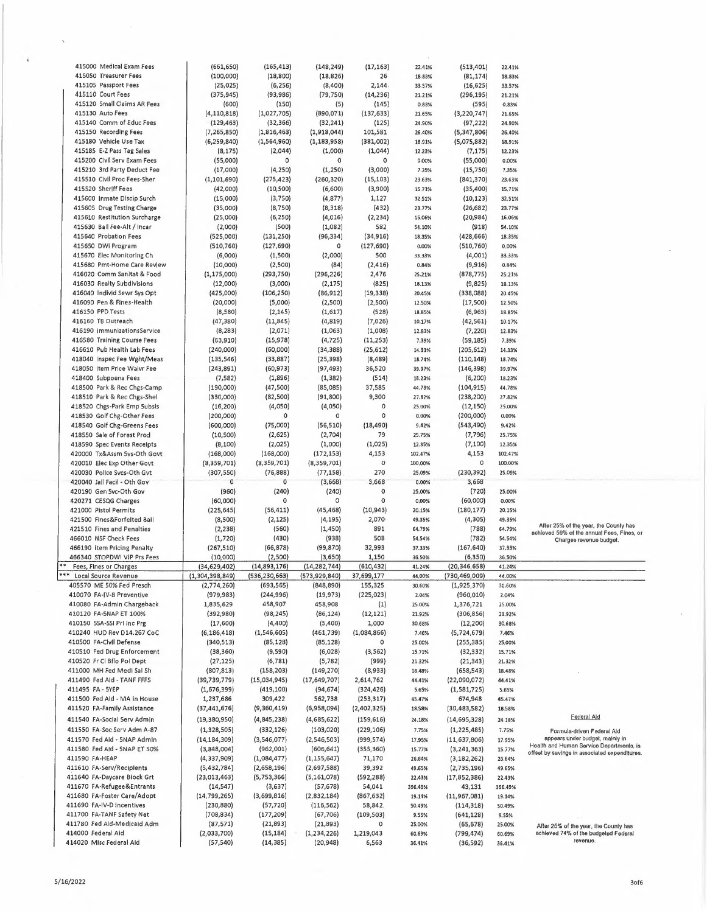| 415000 Medical Exam Fees     | (661, 650)      | (165, 413)      | (148, 249)      | (17, 163)    | 22.41%        | (513, 401)     | 22.41%  |                                                  |
|------------------------------|-----------------|-----------------|-----------------|--------------|---------------|----------------|---------|--------------------------------------------------|
| 415050 Treasurer Fees        | (100,000)       | (18, 800)       | (18, 826)       | 26           | 18.83%        | (81, 174)      | 18.83%  |                                                  |
| 415105 Passport Fees         | (25, 025)       | (6, 256)        | (8,400)         | 2,144        | 33.57%        | (16, 625)      | 33.57%  |                                                  |
| 415110 Court Fees            |                 |                 |                 |              |               |                |         |                                                  |
|                              | (375, 945)      | (93, 986)       | (79, 750)       | (14, 236)    | 21.21%        | (296, 195)     | 21.21%  |                                                  |
| 415120 Small Claims AR Fees  | (600)           | (150)           | (5)             | (145)        | 0.83%         | (595)          | 0.83%   |                                                  |
| 415130 Auto Fees             | (4, 110, 818)   | (1,027,705)     | (890, 071)      | (137, 633)   | 21.65%        | (3, 220, 747)  | 21.65%  |                                                  |
| 415140 Comm of Educ Fees     | (129, 463)      | (32, 366)       | (32, 241)       | (125)        | 24.90%        | (97, 222)      | 24.90%  |                                                  |
| 415150 Recording Fees        | (7,265,850)     | (1,816,463)     | (1,918,044)     | 101,581      | 26.40%        | (5,347,806)    | 26.40%  |                                                  |
| 415180 Vehicle Use Tax       | (6, 259, 840)   | (1, 564, 960)   | (1, 183, 958)   | (381,002)    | 18.91%        | (5,075,882)    | 18.91%  |                                                  |
|                              |                 |                 |                 |              |               |                |         |                                                  |
| 415185 E-Z Pass Tag Sales    | (8, 175)        | (2,044)         | (1,000)         | (1,044)      | 12.23%        | (7, 175)       | 12.23%  |                                                  |
| 415200 Civil Serv Exam Fees  | (55,000)        | 0               | $\mathsf{o}\,$  | $\circ$      | 0.00%         | (55,000)       | 0.00%   |                                                  |
| 415210 3rd Party Deduct Fee  | (17,000)        | (4, 250)        | (1, 250)        | (3,000)      | 7.35%         | (15,750)       | 7.35%   |                                                  |
| 415510 Civil Proc Fees-Sher  | (1, 101, 690)   | (275, 423)      | (260, 320)      | (15, 103)    | 23.63%        | (841, 370)     | 23.63%  |                                                  |
| 415520 Sheriff Fees          |                 | (10, 500)       | (6,600)         | (3,900)      | 15.71%        | (35, 400)      |         |                                                  |
|                              | (42,000)        |                 |                 |              |               |                | 15.71%  |                                                  |
| 415600 Inmate Discip Surch   | (15,000)        | (3,750)         | (4, 877)        | 1,127        | 32.51%        | (10, 123)      | 32.51%  |                                                  |
| 415605 Drug Testing Charge   | (35,000)        | (8,750)         | (8, 318)        | (432)        | 23.77%        | (26, 682)      | 23.77%  |                                                  |
| 415610 Restitution Surcharge | (25,000)        | (6, 250)        | (4,016)         | (2, 234)     | 16.06%        | (20, 984)      | 16.06%  |                                                  |
| 415630 Ball Fee-Alt / Incar  | (2,000)         | (500)           | (1,082)         | 582          | <b>S4.10%</b> | (918)          | 54.10%  |                                                  |
| 415640 Probation Fees        |                 |                 |                 |              |               |                |         |                                                  |
|                              | (525,000)       | (131, 250)      | (96, 334)       | (34, 916)    | 18.35%        | (428, 666)     | 18.35%  |                                                  |
| 415650 DWI Program           | (510, 760)      | (127, 690)      | 0               | (127, 690)   | 0.00%         | (510, 760)     | 0.00%   |                                                  |
| 415670 Elec Monitoring Ch    | (6,000)         | (1,500)         | (2,000)         | 500          | 33.33%        | (4,001)        | 33.33%  |                                                  |
| 415680 Pmt-Home Care Revlew  | (10,000)        | (2,500)         | (84)            | (2, 416)     | 0.84%         | (9, 916)       | 0.84%   |                                                  |
| 416020 Comm Sanitat & Food   | (1, 175, 000)   | (293, 750)      | (296, 226)      | 2,476        | 25.21%        | (878, 775)     | 25.21%  |                                                  |
|                              |                 |                 |                 |              |               |                |         |                                                  |
| 416030 Realty Subdivisions   | (12,000)        | (3,000)         | (2, 175)        | (825)        | 18.13%        | (9, 825)       | 18.13%  |                                                  |
| 416040 Individ Sewr Sys Opt  | (425,000)       | (106, 250)      | (86, 912)       | (19, 338)    | 20.45%        | (338,088)      | 20.45%  |                                                  |
| 416090 Pen & Fines-Health    | (20,000)        | (5,000)         | (2,500)         | (2,500)      | 12.50%        | (17,500)       | 12.50%  |                                                  |
| 416150 PPD Tests             | (8,580)         | (2, 145)        | (1,617)         | (528)        | 18.85%        | (6, 963)       | 18.85%  |                                                  |
| 416160 TB Outreach           | (47, 380)       | (11, 845)       | (4, 819)        | (7,026)      | 10.17%        | (42, 561)      | 10.17%  |                                                  |
|                              |                 |                 |                 |              |               |                |         |                                                  |
| 416190 immunizationsService  | (8, 283)        | (2,071)         | (1,063)         | (1,008)      | 12.83%        | (7, 220)       | 12.83%  |                                                  |
| 416580 Training Course Fees  | (63, 910)       | (15, 978)       | (4, 725)        | (11, 253)    | 7.39%         | (59, 185)      | 7,39%   |                                                  |
| 416610 Pub Health Lab Fees   | (240,000)       | (60,000)        | (34, 388)       | (25, 612)    | 14.33%        | (205, 612)     | 14.33%  |                                                  |
| 418040 Inspec Fee Wght/Meas  | (135, 546)      | (33, 887)       | (25, 398)       | (8, 489)     | 18.74%        | (110, 148)     | 18.74%  |                                                  |
| 418050 Item Price Waivr Fee  |                 |                 |                 |              | 39.97%        |                | 39.97%  |                                                  |
|                              | (243, 891)      | (60, 973)       | (97, 493)       | 36,520       |               | (146, 398)     |         |                                                  |
| 418400 Subpoena Fees         | (7, 582)        | (1,896)         | (1, 382)        | (514)        | 18.23%        | (6, 200)       | 18.23%  |                                                  |
| 418500 Park & Rec Chgs-Camp  | (190,000)       | (47, 500)       | (85,085)        | 37,585       | 44.78%        | (104, 915)     | 44.78%  |                                                  |
| 418510 Park & Rec Chgs-Shel  | (330,000)       | (82, 500)       | (91, 800)       | 9,300        | 27.82%        | (238, 200)     | 27.82%  |                                                  |
| 418520 Chgs-Park Emp 5ubsls  | (16, 200)       | (4,050)         | (4,050)         | 0            | 25.00%        | (12, 150)      | 25.00%  |                                                  |
|                              |                 |                 |                 | 0            |               |                |         |                                                  |
| 418530 Golf Chg-Other Fees   | (200,000)       | 0               | $\circ$         |              | 0.00%         | (200,000)      | 0.00%   |                                                  |
| 418540 Golf Chg-Greens Fees  | (600,000)       | (75,000)        | (56, 510)       | (18, 490)    | 9.42%         | (543, 490)     | 9.42%   |                                                  |
| 418550 Sale of Forest Prod   | (10, 500)       | (2,625)         | (2,704)         | 79           | 25.75%        | (7, 796)       | 25.75%  |                                                  |
|                              |                 |                 |                 |              |               |                |         |                                                  |
|                              |                 |                 |                 |              |               |                |         |                                                  |
| 418590 Spec Events Receipts  | (8, 100)        | (2,025)         | (1,000)         | (1,025)      | 12.35%        | (7, 100)       | 12.35%  |                                                  |
| 420000 Tx&Assm Svs-Oth Govt  | (168,000)       | (168,000)       | (172, 153)      | 4,153        | 102.47%       | 4,153          | 102.47% |                                                  |
| 420010 Elec Exp Other Govt   | (8,359,701)     | (8,359,701)     | (8,359,701)     | $\mathbf{o}$ | 100,00%       | 0              | 100.00% |                                                  |
| 420030 Police Svcs-Oth Gvt   | (307, 550)      | (76, 888)       | (77, 158)       | 270          | 25.09%        | (230, 392)     | 25.09%  |                                                  |
|                              | $\mathbf 0$     | $\mathbf 0$     |                 |              |               |                |         |                                                  |
| 420040 Jall Facil - Oth Gov  |                 |                 | (3,668)         | 3,668        | 0.00%         | 3,668          |         |                                                  |
| 420190 Gen 5vc-Oth Gov       | (960)           | (240)           | (240)           | 0            | 25.00%        | (720)          | 25.00%  |                                                  |
| 420271 CESQG Charges         | (60,000)        | $\circ$         | 0               | 0            | 0.00%         | (60,000)       | 0.00%   |                                                  |
| 421000 Pistol Permits        | (225, 645)      | (56, 411)       | (45, 468)       | (10, 943)    | 20.15%        | (180, 177)     | 20.15%  |                                                  |
| 421500 Fines&Forfelted Bail  | (8,500)         | (2, 125)        | (4, 195)        | 2,070        | 49,35%        | (4, 305)       | 49.35%  |                                                  |
| 421510 Fines and Penalties   |                 |                 |                 | 891          | 64.79%        |                |         | After 25% of the year, the County has            |
|                              | (2, 238)        | (560)           | (1, 450)        |              |               | (788)          | 64.79%  | achleved 59% of the annual Fees, Fines, or       |
| 466010 NSF Check Fees        | (1, 720)        | (430)           | (938)           | 508          | 54.54%        | (782)          | 54.54%  | Charges revenue budget.                          |
| 466190 item Pricing Penalty  | (267, 510)      | (66, 878)       | (99,870)        | 32,993       | 37.33%        | (167, 640)     | 37.33%  |                                                  |
| 466340 STOPDWI VIP Prs Fees  | (10,000)        | (2,500)         | (3,650)         | 1,150        | 36.50%        | (6,350)        | 36.50%  |                                                  |
| Fees, Fines or Charges       | (34, 629, 402)  | (14,893,176)    | (14, 282, 744)  | (610, 432)   | 41.24%        | (20, 346, 658) | 41.24%  |                                                  |
|                              |                 |                 |                 |              |               |                |         |                                                  |
| Local Source Revenue         | (1,304,398,849) | (536, 230, 663) | (573, 929, 840) | 37,699,177   | 44.UU%        | (730,469,009)  | 44.00%  |                                                  |
| 405570 ME 50% Fed Presch     | (2,774,260)     | (693, 565)      | (848, 890)      | 155,325      | 30.60%        | (1,925,370)    | 30.60%  |                                                  |
| 410070 FA-IV-8 Preventive    | (979, 983)      | (244, 996)      | (19, 973)       | (225, 023)   | 2.04%         | (960, 010)     | 2.04%   |                                                  |
| 410080 FA-Admin Chargeback   | 1,835,629       | 458,907         | 458,908         | (1)          | 25.00%        | 1,376,721      | 25.00%  |                                                  |
| 410120 FA-5NAP ET 100%       | (392,980)       | (98, 245)       | (86, 124)       | (12, 121)    | 21.92%        | (306, 856)     | 21.92%  |                                                  |
| 410150 5SA-SSI Pri inc Prg   | (17,600)        | (4,400)         | (5,400)         | 1,000        | 30.68%        | (12, 200)      | 30.68%  |                                                  |
|                              |                 |                 |                 |              |               |                |         |                                                  |
| 410240 HUD Rev D14.267 CoC   | (6, 186, 418)   | (1, 546, 605)   | (461, 739)      | (1,084,866)  | 7.46%         | (5,724,679)    | 7.46%   |                                                  |
| 410500 FA-Civil Defense      | (340, 513)      | (85,128)        | (85, 128)       | 0            | 25.00%        | (255,385)      | 25.00%  |                                                  |
| 410510 Fed Drug Enforcement  | (38, 360)       | (9,590)         | (6,028)         | (3, 562)     | 15.71%        | (32, 332)      | 15.71%  |                                                  |
| 410520 Fr Cl Bflo Pol Dept   | (27, 125)       | (6, 781)        | (5, 782)        | (999)        | 21.32%        | (21, 343)      | 21.32%  |                                                  |
| 411000 MH Fed Medi Sal Sh    |                 |                 |                 |              |               |                | 18.48%  |                                                  |
|                              | (807, 813)      | (158, 203)      | (149, 270)      | (8,933)      | 18.48%        | (658, 543)     |         |                                                  |
| 411490 Fed Ald - TANF FFFS   | (39, 739, 779)  | (15,034,945)    | (17,649,707)    | 2,614,762    | 44.41%        | (22,090,072)   | 44.41%  |                                                  |
| 411495 FA - 5YEP             | (1,676,399)     | (419, 100)      | (94, 674)       | (324, 426)   | 5.65%         | (1,581,725)    | 5.65%   |                                                  |
| 411500 Fed Ald - MA in House | 1,237,686       | 309,422         | 562,738         | (253, 317)   | 45.47%        | 674,948        | 45.47%  |                                                  |
| 411520 FA-Family Assistance  | (37, 441, 676)  | (9,360,419)     | (6,958,094)     | (2,402,325)  | 18.58%        | (30, 483, 582) | 18.58%  |                                                  |
|                              |                 |                 |                 |              |               |                |         | Federal Aid                                      |
| 411540 FA-Social Serv Admin  | (19, 380, 950)  | (4, 845, 238)   | (4,685,622)     | (159, 616)   | 24.18%        | (14, 695, 328) | 24.18%  |                                                  |
| 411550 FA-Soc Serv Adm A-87  | (1,328,505)     | (332, 126)      | (103, 020)      | (229, 106)   | 7.75%         | (1, 225, 485)  | 7.75%   | Formula-driven Federal Ald                       |
| 411570 Fed Aid - 5NAP Admln  | (14, 184, 309)  | (3,546,077)     | (2, 546, 503)   | (999, 574)   | 17.95%        | (11, 637, 806) | 17.95%  | appears under budget, mainly in                  |
| 411580 Fed Ald - 5NAP ET 50% | (3,848,004)     | (962,001)       | (606, 641)      | (355, 360)   | 15.77%        | (3, 241, 363)  | 15.77%  | Health and Human Service Departments, is         |
|                              |                 |                 |                 |              |               |                |         | offset by savings in associated expenditures.    |
| 411590 FA-HEAP               | (4, 337, 909)   | (1,084,477)     | (1, 155, 647)   | 71,170       | 26.64%        | (3, 182, 262)  | 26.64%  |                                                  |
| 411610 FA-Serv/Recipients    | (5,432,784)     | (2,658,196)     | (2,697,588)     | 39,392       | 49.65%        | (2,735,196)    | 49.65%  |                                                  |
| 411640 FA-Daycare Biock Grt  | (23,013,463)    | (5,753,366)     | (5, 161, 078)   | (592, 288)   | 22.43%        | (17, 852, 386) | 22.43%  |                                                  |
| 411670 FA-Refugee&Entrants   | (14, 547)       | (3,637)         | (57, 678)       | 54,041       | 396.49%       | 43,131         | 396.49% |                                                  |
| 411680 FA-Foster Care/Adopt  | (14, 799, 265)  | (3,699,816)     |                 |              | 19.14%        |                | 19.14%  |                                                  |
|                              |                 |                 | (2,832,184)     | (867, 632)   |               | (11, 967, 081) |         |                                                  |
| 411690 FA-IV-D incentives    | (230, 880)      | (57, 720)       | (116, 562)      | 58,842       | 50.49%        | (114, 318)     | 50.49%  |                                                  |
| 411700 FA-TANF Safety Net    | (708, 834)      | (177, 209)      | (67, 706)       | (109, 503)   | 9.55%         | (641, 128)     | 9.55%   |                                                  |
| 411780 Fed Ald-Medicaid Adm  | (87, 571)       | (21, 893)       | (21, 893)       | 0            | 25.00%        | (65, 678)      | 25.00%  | After 25% of the year, the County has            |
| 414000 Federal Aid           | (2,033,700)     | (15, 184)       | (1, 234, 226)   | 1,219,043    | 60,69%        | (799,474)      | 60.69%  | achieved 74% of the budgeted Federal<br>revenue. |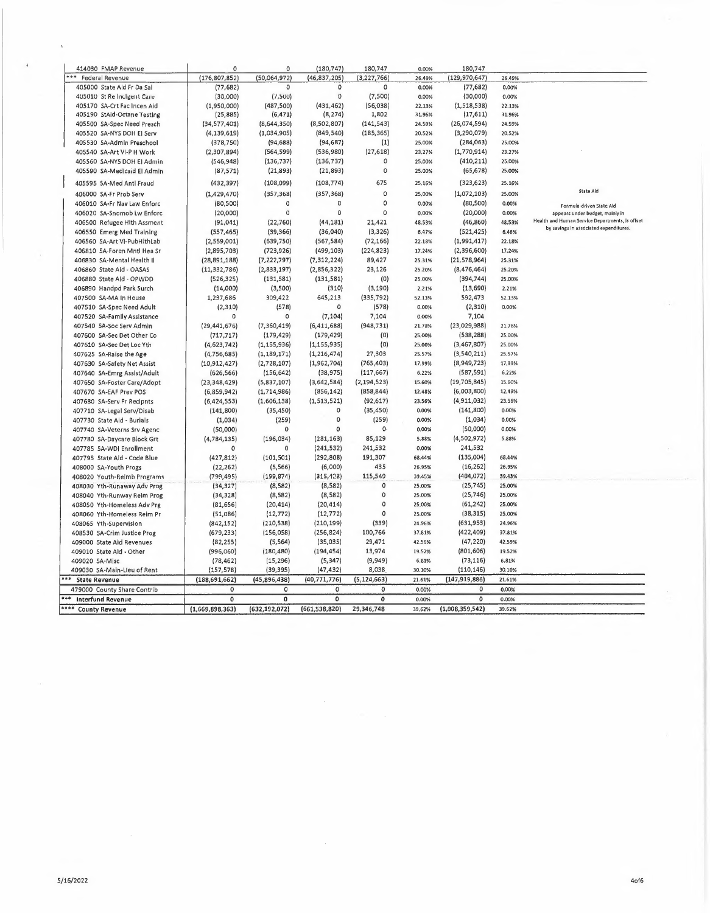| 414030 FMAP Revenue           | $\circ$         | $\mathbf 0$     | (180, 747)      | 180,747             | 0.00%  | 180,747         |        |                                                                                           |
|-------------------------------|-----------------|-----------------|-----------------|---------------------|--------|-----------------|--------|-------------------------------------------------------------------------------------------|
| ***<br><b>Federal Revenue</b> | (176, 807, 852) | (50,064,972)    | (46, 837, 205)  | (3,227,766)         | 26.49% | (129, 970, 647) | 26.49% |                                                                                           |
| 405000 State Ald Fr Da Sal    | (77, 682)       | $\Omega$        | 0               | $\circ$             | 0.00%  | (77, 682)       | 0.00%  |                                                                                           |
| 405010 St Re Indigent Care    | (30,000)        | (7,500)         | Ü               | (7,500)             | 0.00%  | (30,000)        | 0.00%  |                                                                                           |
| 405170 SA-Crt Fac Incen Aid   | (1,950,000)     | (487, 500)      | (431, 462)      | (56,038)            | 22.13% | (1, 518, 538)   | 22.13% |                                                                                           |
| 405190 StAid-Octane Testing   | (25, 885)       | (6, 471)        | (8, 274)        | 1,802               | 31.96% | (17, 611)       | 31.96% |                                                                                           |
| 405500 SA-Spec Need Presch    | (34, 577, 401)  | (8,644,350)     | (8,502,807)     | (141, 543)          | 24.59% | (26,074,594)    | 24.59% |                                                                                           |
| 405520 SA-NYS DOH EI Serv     | (4, 139, 619)   | (1,034,905)     | (849, 540)      | (185, 365)          | 20.52% | (3, 290, 079)   | 20.52% |                                                                                           |
| 405530 5A-Admln Preschool     | (378, 750)      | (94, 688)       | (94, 687)       | (1)                 | 25.00% | (284,063)       | 25.00% |                                                                                           |
| 405540 SA-Art VI-P H Work     | (2,307,894)     | (564, 599)      | (536,980)       | (27, 618)           | 23,27% | (1,770,914)     | 23.27% |                                                                                           |
| 405560 SA-NY5 DOH El Admin    | (546, 948)      | (136, 737)      | (136, 737)      | $\circ$             | 25.00% | (410, 211)      | 25.00% |                                                                                           |
| 405590 SA-Medicaid El Admin   | (87, 571)       | (21,893)        | (21, 893)       | $\mathbf 0$         | 25.00% | (65, 678)       | 25.00% |                                                                                           |
|                               |                 |                 |                 |                     |        |                 |        |                                                                                           |
| 405595 5A-Med Antl Fraud      | (432, 397)      | (108,099)       | (108, 774)      | 675                 | 25.16% | (323, 623)      | 25.16% | State Ald                                                                                 |
| 406000 SA-Fr Prob Serv        | (1, 429, 470)   | (357, 368)      | (357, 368)      | $\circ$<br>0        | 25,00% | (1,072,103)     | 25.00% |                                                                                           |
| 406010 SA-Fr Nav Law Enforc   | (80, 500)       | $\circ$         | 0               |                     | 0.00%  | (80, 500)       | 0.00%  | Formula-driven State Aid                                                                  |
| 406020 SA-Snomob Lw Enforc    | (20,000)        | $\circ$         | 0               | $\Omega$            | 0.00%  | (20,000)        | 0.00%  | appears under budget, mainly in                                                           |
| 406500 Refugee Hith Assment   | (91, 041)       | (22, 760)       | (44, 181)       | 21,421              | 48.53% | (46, 860)       | 48.53% | Health and Human Service Departments, is offset<br>by savings in associated expenditures. |
| 406550 Emerg Med Training     | (557, 465)      | (39, 366)       | (36,040)        | (3, 326)            | 6,47%  | (521, 425)      | 6.46%  |                                                                                           |
| 406560 SA-Art VI-PubHlthLab   | (2,559,001)     | (639,750)       | (567, 584)      | (72, 166)           | 22.18% | (1,991,417)     | 22.18% |                                                                                           |
| 406810 SA-Foren Mntl Hea Sr   | (2,895,703)     | (723, 926)      | (499, 103)      | (224, 823)          | 17.24% | (2,396,600)     | 17.24% |                                                                                           |
| 406830 SA-Mental Health II    | (28, 891, 188)  | (7, 222, 797)   | (7, 312, 224)   | 89,427              | 25.31% | (21, 578, 964)  | 25.31% |                                                                                           |
| 406860 State Aid - OASAS      | (11, 332, 786)  | (2,833,197)     | (2,856,322)     | 23,126              | 25.20% | (8, 476, 464)   | 25.20% |                                                                                           |
| 406880 State Ald - OPWDD      | (526, 325)      | (131, 581)      | (131, 581)      | (0)                 | 25.00% | (394, 744)      | 25,00% |                                                                                           |
| 406890 Handpd Park Surch      | (14,000)        | (3,500)         | (310)           | (3, 190)            | 2.21%  | (13, 690)       | 2.21%  |                                                                                           |
| 407500 SA-MA In House         | 1,237,686       | 309,422         | 645,213         | (335, 792)          | 52.13% | 592,473         | 52.13% |                                                                                           |
| 407510 SA-Spec Need Adult     | (2, 310)        | (578)           | 0               | (578)               | 0.00%  | (2,310)         | 0.00%  |                                                                                           |
| 407520 SA-Family Assistance   | O               | $\circ$         | (7, 104)        | 7,104               | 0.00%  | 7,104           |        |                                                                                           |
| 407540 5A-Soc Serv Admin      | (29, 441, 676)  | (7,360,419)     | (6, 411, 688)   | (948, 731)          | 21.78% | (23,029,988)    | 21.78% |                                                                                           |
| 407600 SA-Sec Det Other Co    | (717, 717)      | (179, 429)      | (179, 429)      | (0)                 | 25,00% | (538, 288)      | 25.00% |                                                                                           |
|                               |                 |                 |                 | (0)                 |        |                 | 25.00% |                                                                                           |
| 407610 SA-Sec Det Loc Yth     | (4, 623, 742)   | (1, 155, 936)   | (1, 155, 935)   |                     | 25.00% | (3,467,807)     |        |                                                                                           |
| 407625 SA-Raise the Age       | (4, 756, 685)   | (1, 189, 171)   | (1, 216, 474)   | 27,303              | 25.57% | (3,540,211)     | 25.57% |                                                                                           |
| 407630 SA-Safety Net Assist   | (10, 912, 427)  | (2,728,107)     | (1,962,704)     | (765, 403)          | 17.99% | (8,949,723)     | 17.99% |                                                                                           |
| 407640 SA-Emrg Assist/Adult   | (626, 566)      | (156, 642)      | (38, 975)       | (117, 667)          | 6.22%  | (587, 591)      | 6,22%  |                                                                                           |
| 407650 SA-Foster Care/Adopt   | (23, 348, 429)  | (5,837,107)     | (3,642,584)     | (2, 194, 523)       | 15.60% | (19, 705, 845)  | 15.60% |                                                                                           |
| 407670 SA-EAF Prev POS        | (6,859,942)     | (1,714,986)     | (856, 142)      | (858, 844)          | 12.48% | (6,003,800)     | 12.48% |                                                                                           |
| 407680 SA-Serv Fr Recipnts    | (6, 424, 553)   | (1,606,138)     | (1, 513, 521)   | (92, 617)           | 23.56% | (4,911,032)     | 23,56% |                                                                                           |
| 407710 SA-Legal Serv/Disab    | (141, 800)      | (35, 450)       | $\circ$         | (35, 450)           | 0.00%  | (141,800)       | 0.00%  |                                                                                           |
| 407730 State Aid - Burials    | (1,034)         | (259)           | 0               | (259)               | 0.00%  | (1,034)         | 0.00%  |                                                                                           |
| 407740 SA-Veterns Srv Agenc   | (50,000)        | $\circ$         | $\Omega$        | 0.                  | 0.00%  | (50,000)        | 0.00%  |                                                                                           |
| 407780 SA-Daycare Block Grt   | (4, 784, 135)   | (196, 034)      | (281, 163)      | 85,129              | 5.88%  | (4,502,972)     | 5.88%  |                                                                                           |
| 407785 5A-WDI Enrollment      | 0               | $\Omega$        | (241, 532)      | 241,532             | 0.00%  | 241,532         |        |                                                                                           |
| 407795 State Ald - Code Blue  | (427, 812)      | (101, 501)      | (292, 808)      | 191,307             | 68.44% | (135,004)       | 68.44% |                                                                                           |
| 408000 SA-Youth Progs         | (22, 262)       | (5, 566)        | (6,000)         | 435                 | 26.95% | (16, 262)       | 26.95% |                                                                                           |
| 408020 Youth-Relmb Programs   | (799,495)       | (199, 874)      | (315, 423)      | 115,549             | 39.45% | (404, 072)      | 39.43% |                                                                                           |
| 408030 Yth-Runaway Adv Prog   | (34, 327)       | (8,582)         | (8,582)         | $\pmb{\mathsf{0}}$  | 25.00% | (25, 745)       | 25.00% |                                                                                           |
| 408040 Yth-Runway Reim Prog   | (34, 328)       | (8, 582)        | (8, 582)        | $\mathsf{O}\xspace$ | 25.00% | (25, 746)       | 25,00% |                                                                                           |
|                               |                 |                 |                 | 0                   | 25.00% | (61, 242)       | 25.00% |                                                                                           |
| 408050 Yth-Homeless Adv Prg   | (81, 656)       | (20, 414)       | (20, 414)       | 0                   |        |                 |        |                                                                                           |
| 408060 Yth-Homeless Reim Pr   | (51,086)        | (12, 772)       | (12, 772)       |                     | 25,00% | (38, 315)       | 25.00% |                                                                                           |
| 408065 Yth-Supervision        | (842, 152)      | (210, 538)      | (210, 199)      | (339)               | 24.96% | (631, 953)      | 24.96% |                                                                                           |
| 408530 SA-Crim Justice Prog   | (679, 233)      | (156, 058)      | (256, 824)      | 100,766             | 37.81% | (422, 409)      | 37.81% |                                                                                           |
| 409000 State Aid Revenues     | (82, 255)       | (5, 564)        | (35, 035)       | 29,471              | 42.59% | (47, 220)       | 42.59% |                                                                                           |
| 409010 State Aid - Other      | (996,060)       | (180, 480)      | (194, 454)      | 13,974              | 19.52% | (801, 606)      | 19.52% |                                                                                           |
| 409020 SA-Misc                | (78, 462)       | (15, 296)       | (5, 347)        | (9,949)             | 6.81%  | (73, 116)       | 6.81%  |                                                                                           |
| 409030 SA-Main-Lleu of Rent   | (157, 578)      | (39, 395)       | (47, 432)       | 8,038               | 30.10% | (110, 146)      | 30.10% |                                                                                           |
| <b>State Revenue</b>          | (188, 691, 662) | (45, 896, 438)  | (40,771,776)    | (5, 124, 663)       | 21.61% | (147, 919, 886) | 21.61% |                                                                                           |
| 479000 County Share Contrib   | 0               | $\circ$         | $\mathbf 0$     | $\circ$             | 0.00%  | $\Omega$        | 0.00%  |                                                                                           |
| <b>Interfund Revenue</b>      | 0               | 0               | $\mathbf 0$     | 0                   | 0.00%  | $\mathbf 0$     | 0.00%  |                                                                                           |
| **** County Revenue           | (1,669,898,363) | (632, 192, 072) | (661, 538, 820) | 29,346,748          | 39.62% | (1,008,359,542) | 39.62% |                                                                                           |
|                               |                 |                 |                 |                     |        |                 |        |                                                                                           |

 $\bar{\mathcal{A}}$ 

 $\bar{z}$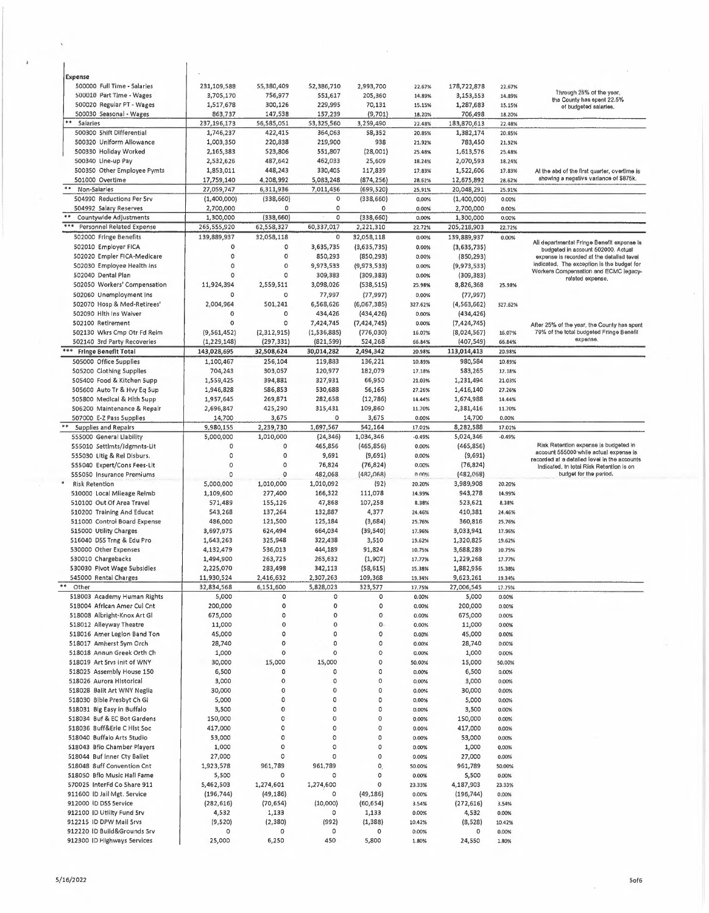| Expense                                                         |               |                     |             |                       |          |               |          |                                                                                         |
|-----------------------------------------------------------------|---------------|---------------------|-------------|-----------------------|----------|---------------|----------|-----------------------------------------------------------------------------------------|
| 500000 Full Time - Salaries                                     | 231,109,588   | 55,380,409          | 52,386,710  | 2,993,700             | 22.67%   | 178,722,878   | 22.67%   |                                                                                         |
| 500010 Part Time - Wages                                        | 3,705,170     | 756,977             | 551,617     | 205,360               | 14.89%   | 3,153,553     | 14.89%   | Through 25% of the year,                                                                |
| 500020 Regular PT - Wages                                       | 1,517,678     | 300,126             | 229,995     | 70,131                | 15.15%   | 1,287,683     | 15.15%   | tha County has spent 22.5%<br>of budgeted salaries.                                     |
| 500030 Seasonal - Wages                                         | 863,737       | 147,538             | 157,239     | (9,701)               | 18.20%   | 706,498       | 18.20%   |                                                                                         |
| $\begin{array}{c} \bullet\bullet\end{array}$<br><b>Saiaries</b> | 237,196,173   | 56,585,051          | 53,325,560  | 3,259,490             | 22.48%   | 183,870,613   | 22.48%   |                                                                                         |
| 500300 Shift Differential                                       | 1,746,237     | 422,415             | 364,063     | 58,352                | 20.85%   | 1,382,174     | 20.85%   |                                                                                         |
| 500320 Uniform Allowance                                        | 1,003,350     | 220,838             | 219,900     | 938                   | 21.92%   | 783,450       | 21.92%   |                                                                                         |
| 500330 Holiday Worked                                           | 2,165,383     | 523,806             | 551,807     | (28,001)              | 25.48%   | 1,613,576     | 25.48%   |                                                                                         |
|                                                                 |               |                     | 462,033     |                       |          | 2,070,593     |          |                                                                                         |
| 500340 Line-up Pay                                              | 2,532,626     | 487,642             |             | 25,609                | 18.24%   |               | 18.24%   |                                                                                         |
| 500350 Other Employee Pymts                                     | 1,853,011     | 448,243             | 330,405     | 117,839               | 17.83%   | 1,522,606     | 17.83%   | At the abd of the first quarter, overtime is                                            |
| 501000 Overtime                                                 | 17,759,140    | 4,208,992           | 5,083,248   | (874, 256)            | 28.62%   | 12,675,892    | 28.62%   | showing a negativs variance of \$875k.                                                  |
| $***$<br>Non-Salarles                                           | 27,059,747    | 6,311,936           | 7,011,456   | (699, 520)            | 25.91%   | 20,048,291    | 25.91%   |                                                                                         |
| 504990 Reductions Per Srv                                       | (1,400,000)   | (338, 660)          | 0           | (338, 660)            | 0.00%    | (1,400,000)   | 0.00%    |                                                                                         |
| 504992 5alary Reserves                                          | 2,700,000     | 0                   | $\circ$     | 0                     | 0.00%    | 2,700,000     | 0.00%    |                                                                                         |
| $***$<br>Countywide Adjustments                                 | 1,300,000     | (338, 660)          | $\circ$     | (338, 660)            | 0.00%    | 1,300,000     | 0.00%    |                                                                                         |
| $***$<br><b>Personnel Related Expense</b>                       | 265,555,920   | 62,558,327          | 60,337,017  | 2,221,310             | 22.72%   | 205,218,903   | 22.72%   |                                                                                         |
| 502000 Fringe Benefits                                          | 139,889,937   | 32,058,118          | 0           | 32,058,118            | 0.00%    | 139,889,937   | 0.00%    |                                                                                         |
| 502010 Employer FICA                                            | 0             | 0                   | 3,635,735   | (3,635,735)           | 0.00%    |               |          | Ali departmentat Fringe Benefit expense is                                              |
|                                                                 | 0             | 0                   |             |                       |          | (3,635,735)   |          | budgeted in account 502000. Actual                                                      |
| 502020 Empler FICA-Medicare                                     |               |                     | 850,293     | (850, 293)            | 0.00%    | (850, 293)    |          | expense is recorded at the detailsd tevel<br>indicated. The exception is the budget for |
| 502030 Employee Health Ins                                      | 0             | 0                   | 9,973,533   | (9,973,533)           | 0.00%    | (9,973,533)   |          | Workers Compensation and ECMC legacy-                                                   |
| 502040 Dental Plan                                              | 0             | 0                   | 309,383     | (309, 383)            | 0.00%    | (309, 383)    |          | related expense.                                                                        |
| 502050 Workers' Compensation                                    | 11,924,394    | 2,559,511           | 3,098,026   | (538, 515)            | 25.98%   | 8,826,368     | 25.98%   |                                                                                         |
| 502060 Unemployment Ins                                         | 0             | 0                   | 77,997      | (77, 997)             | 0.00%    | (77, 997)     |          |                                                                                         |
| 502070 Hosp & Med-Retirees'                                     | 2,004,964     | 501,241             | 6,568,626   | (6,067,385)           | 327.62%  | (4, 563, 662) | 327.62%  |                                                                                         |
| 502090 Hlth Ins Waiver                                          | $\Omega$      | 0                   | 434,426     | (434, 426)            | 0.00%    | (434, 426)    |          |                                                                                         |
| 502100 Retirement                                               | $\mathbf 0$   | 0                   | 7,424,745   | (7, 424, 745)         | 0.00%    | (7, 424, 745) |          |                                                                                         |
| 502130 Wkrs Cmp Otr Fd Reim                                     | (9, 561, 452) | (2, 312, 915)       | (1,536,885) | (776, 030)            | 16.07%   | (8,024,567)   | 16.07%   | After 25% of the year, the County has spent<br>79% of the total budgeted Fringe Benefit |
|                                                                 |               |                     |             |                       |          |               |          | expense.                                                                                |
| 502140 3rd Party Recoveries                                     | (1,229,148)   | (297, 331)          | (821, 599)  | 524,268               | 66.84%   | (407, 549)    | 66,84%   |                                                                                         |
| *** Fringe Benefit Total                                        | 143,028,695   | 32,508,624          | 30,014,282  | 2,494,342             | 20.98%   | 113,014,413   | 20.98%   |                                                                                         |
| 505000 Office Supplies                                          | 1,100,467     | 256,104             | 119,883     | 136,221               | 10.89%   | 980,584       | 10.89%   |                                                                                         |
| 505200 Clothing Supplies                                        | 704,243       | 303,057             | 120,977     | 182,079               | 17.18%   | 583,265       | 17.18%   |                                                                                         |
| 505400 Food & Kitchen 5upp                                      | 1,559,425     | 394,881             | 327,931     | 66,950                | 21.03%   | 1,231,494     | 21.03%   |                                                                                         |
| 505600 Auto Tr & Hvy Eq 5up                                     | 1,946,828     | 586,853             | 530,688     | 56,165                | 27.26%   | 1,416,140     | 27.26%   |                                                                                         |
| 505800 Medical & Hith Supp                                      | 1,957,645     | 269,871             | 282,658     | (12, 786)             | 14.44%   | 1,674,988     | 14.44%   |                                                                                         |
| 506200 Maintenance & Repalr                                     | 2,696,847     | 425,290             | 315,431     | 109,860               | 11.70%   | 2,381,416     | 11.70%   |                                                                                         |
| 507000 E-Z Pass Supplies                                        | 14,700        | 3,675               | 0           | 3,675                 | 0.00%    | 14,700        | 0.00%    |                                                                                         |
| **                                                              |               |                     |             |                       |          |               |          |                                                                                         |
| <b>Supplies and Repairs</b>                                     | 9,980,155     | 2,239,730           | 1,697,567   | 542,164               | 17.01%   | 8,282,588     | 17.01%   |                                                                                         |
| 555000 General Llability                                        | 5,000,000     | 1,010,000           | (24, 346)   | 1,034,346             | $-0.49%$ | 5,024,346     | $-0.49%$ |                                                                                         |
| 555010 Settlmts/Jdgmnts-Lit                                     | $\mathbf 0$   | $\circ$             | 465,856     | (465, 856)            | 0.00%    | (465, 856)    |          | Risk Retention expense is budgeted in<br>account 555000 while actual expense is         |
| 555030 Litig & Rel Disburs.                                     | $\circ$       | $\mathsf{o}\xspace$ | 9,691       | (9,691)               | 0.00%    | (9,691)       |          | recorded at a detailed level in the accounts                                            |
| 555040 Expert/Cons Fees-Lit                                     | $\Omega$      | $\circ$             | 76,824      | (76, 824)             | 0.00%    | (76, 824)     |          | Indicated, In total Risk Retention is on                                                |
| 555050 Insurance Premiums                                       | O             | $\circ$             | 482,068     | (482, 068)            | n on%    | (482,068)     |          | budget for the period.                                                                  |
| <b>Risk Retention</b>                                           | 5,000,000     | 1,010,000           | 1,010,092   | (92)                  | 20,20%   | 3,989,908     | 20.20%   |                                                                                         |
| 510000 Local Mileage Reimb                                      | 1,109,600     | 277,400             | 166,322     | 111,078               | 14.99%   | 943,278       | 14.99%   |                                                                                         |
| 510100 Out Of Area Travel                                       | 571,489       | 155,126             | 47,868      | 107,258               | 8.38%    | 523,621       | 8.38%    |                                                                                         |
| 510200 Training And Educat                                      | 543,268       | 137,264             | 132,887     | 4,377                 | 24.46%   | 410,381       | 24.46%   |                                                                                         |
| 511000 Control Board Expense                                    | 486,000       | 121,500             | 125,184     | (3,684)               | 25.76%   | 360,816       | 25.76%   |                                                                                         |
|                                                                 |               |                     |             |                       |          |               |          |                                                                                         |
| 515000 Utility Charges                                          | 3,697,975     | 624,494             | 664,034     | (39, 540)             | 17.96%   | 3,033,941     | 17.96%   |                                                                                         |
| 516040 D55 Trng & Edu Pro                                       | 1,643,263     | 325,948             | 322,438     | 3,510                 | 19.62%   | 1,320,825     | 19.62%   |                                                                                         |
| 530000 Other Expenses                                           | 4,132,479     | 536,013             | 444,189     | 91,824                | 10.75%   | 3,688,289     | 10.75%   |                                                                                         |
| 530010 Chargebacks                                              | 1,494,900     | 263,725             | 265,632     | (1,907)               | 17.77%   | 1,229,268     | 17.77%   |                                                                                         |
| 530030 Pivot Wage Subsidies                                     | 2,225,070     | 283,498             | 342,113     | (58, 615)             | 15.38%   | 1,882,956     | 15.38%   |                                                                                         |
| 545000 Rental Charges                                           | 11,930,524    | 2,416,632           | 2,307,263   | 109,368               | 19,34%   | 9,623,261     | 19.34%   |                                                                                         |
| Other                                                           | 32,834,568    | 6,151,600           | 5,828,023   | 323,577               | 17.75%   | 27,006,545    | 17.75%   |                                                                                         |
| 518003 Academy Human Rights                                     | 5,000         | 0                   | $\circ$     | $\circ$               | 0.00%    | 5,000         | 0.00%    |                                                                                         |
| 518004 African Amer Cul Cnt                                     | 200,000       | 0                   | 0           | 0                     | 0.00%    | 200,000       | 0.00%    |                                                                                         |
| 518008 Albright-Knox Art Gl                                     | 675,000       | 0                   | 0           | 0                     | 0.00%    | 675,000       | 0.00%    |                                                                                         |
|                                                                 |               | 0                   | $\circ$     | 0                     |          |               | 0.00%    |                                                                                         |
| 518012 Alleyway Theatre                                         | 11,000        |                     | $\circ$     |                       | 0.00%    | 11,000        |          |                                                                                         |
| 518016 Amer Legion Band Ton                                     | 45,000        | 0                   |             | 0                     | 0.00%    | 45,000        | 0.00%    |                                                                                         |
| 518017 Amherst 5ym Orch                                         | 28,740        | 0                   | $\circ$     | 0                     | 0.00%    | 28,740        | 0,00%    |                                                                                         |
| 518018 Annun Greek Orth Ch                                      | 1,000         | 0                   | 0           | $\mathsf{O}\xspace$   | 0.00%    | 1,000         | 0.00%    |                                                                                         |
| 518019 Art Srvs init of WNY                                     | 30,000        | 15,000              | 15,000      | $\pmb{0}$             | 50.00%   | 15,000        | 50.00%   |                                                                                         |
| 518025 Assembly House 150                                       | 6,500         | 0                   | o           | 0                     | 0.00%    | 6,500         | 0.00%    |                                                                                         |
| 518026 Aurora Historical                                        | 3,000         | 0                   | 0           | 0                     | 0.00%    | 3,000         | 0.00%    |                                                                                         |
| 518028 Ballt Art WNY Neglia                                     | 30,000        | 0                   | 0           | 0                     | 0.00%    | 30,000        | 0.00%    |                                                                                         |
| 518030 Bible Presbyt Ch Gi                                      | 5,000         | 0                   | 0           | 0                     | 0.00%    | 5,000         | 0.00%    |                                                                                         |
| 518031 Blg Easy in Buffalo                                      | 3,500         | 0                   | 0           | 0                     | 0.00%    | 3,500         | 0.00%    |                                                                                         |
| 518034 Buf & EC Bot Gardens                                     | 150,000       | 0                   | 0           | 0                     | 0.00%    | 150,000       | 0.00%    |                                                                                         |
| 518036 8uff&Erle C Hist Soc                                     | 417,000       | o                   | 0           | $\,$ 0                | 0.00%    | 417,000       | 0.00%    |                                                                                         |
|                                                                 |               |                     | 0           |                       |          |               |          |                                                                                         |
| 518040 Buffalo Arts Studio                                      | 53,000        | 0                   |             | $\circ$               | 0.00%    | 53,000        | 0.00%    |                                                                                         |
| 518043 Bflo Chamber Players                                     | 1,000         | 0                   | 0           | 0                     | 0.00%    | 1,000         | 0.00%    |                                                                                         |
| 518044 Buf Inner Cty Ballet                                     | 27,000        | 0                   | 0           | $\,$ 0                | 0.00%    | 27,000        | 0.00%    |                                                                                         |
| 518048 8uff Convention Cnt                                      | 1,923,578     | 961,789             | 961,789     | $\mathbf{O}_{\alpha}$ | 50.00%   | 961,789       | 50.00%   |                                                                                         |
| 518050 Bflo Music Hall Fame                                     | 5,500         | 0                   | 0           | 0                     | 0.00%    | 5,500         | 0.00%    |                                                                                         |
| 570025 InterFd Co Share 911                                     | 5,462,503     | 1,274,601           | 1,274,600   | $\,$ 0                | 23.33%   | 4,187,903     | 23.33%   |                                                                                         |
| 911600 ID Jail Mgt. Service                                     | (196, 744)    | (49, 186)           | 0           | (49, 186)             | 0.00%    | (196, 744)    | 0.00%    |                                                                                         |
| 912000 ID D55 Service                                           | (282, 616)    | (70, 654)           | (10,000)    | (60, 654)             | 3.54%    | (272, 616)    | 3.54%    |                                                                                         |
| 912100 ID Utility Fund Srv                                      | 4,532         | 1,133               | 0           | 1,133                 | 0.00%    | 4,532         | 0.00%    |                                                                                         |
| 912215 ID DPW Mail Srvs                                         | (9,520)       | (2, 380)            | (992)       |                       | 10.42%   |               |          |                                                                                         |
| 912220 ID Build&Grounds Srv                                     |               |                     |             | (1,388)               |          | (8, 528)      | 10.42%   |                                                                                         |
|                                                                 | 0             | 0                   | 0           | 0                     | 0.00%    | 0             | 0.00%    |                                                                                         |
| 912300 ID Highways Services                                     | 25,000        | 6,250               | 450         | 5,800                 | 1,80%    | 24,550        | 1.80%    |                                                                                         |

 $\bar{V}$  $\overline{1}$ 

 $\overline{1}$